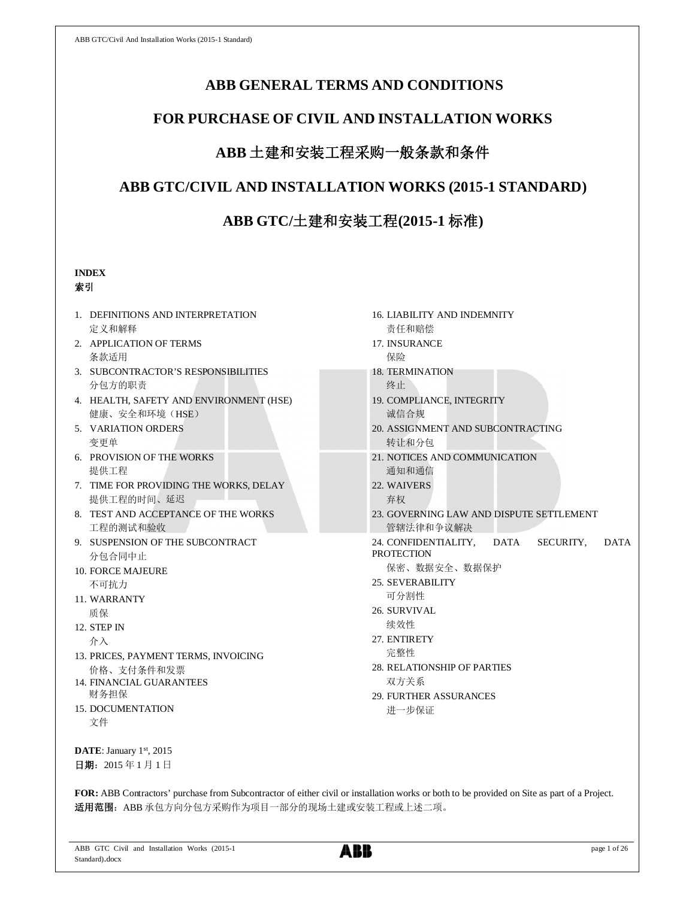# **ABB GENERAL TERMS AND CONDITIONS**

# **FOR PURCHASE OF CIVIL AND INSTALLATION WORKS**

# **ABB** 土建和安装工程采购一般条款和条件

# **ABB GTC/CIVIL AND INSTALLATION WORKS (2015-1 STANDARD)**

# **ABB GTC/**土建和安装工程**(2015-1** 标准**)**

# **INDEX**

# 索引

- 1. DEFINITIONS AND INTERPRETATION 定义和解释
- 2. APPLICATION OF TERMS 条款适用
- 3. SUBCONTRACTOR'S RESPONSIBILITIES 分包方的职责
- 4. HEALTH, SAFETY AND ENVIRONMENT (HSE) 健康、安全和环境(HSE)
- 5. VARIATION ORDERS 变更单
- 6. PROVISION OF THE WORKS 提供工程
- 7. TIME FOR PROVIDING THE WORKS, DELAY 提供工程的时间、延迟
- 8. TEST AND ACCEPTANCE OF THE WORKS 工程的测试和验收
- 9. SUSPENSION OF THE SUBCONTRACT 分包合同中止
- 10. FORCE MAJEURE 不可抗力
- 11. WARRANTY 质保
- 12. STEP IN 介入
- 13. PRICES, PAYMENT TERMS, INVOICING 价格、支付条件和发票
- 14. FINANCIAL GUARANTEES 财务担保
- 15. DOCUMENTATION 文件

**DATE**: January 1st, 2015 日期: 2015年1月1日

- 16. LIABILITY AND INDEMNITY 责任和赔偿
- 17. INSURANCE 保险
- 18. TERMINATION 终止
- 19. COMPLIANCE, INTEGRITY 诚信合规
- 20. ASSIGNMENT AND SUBCONTRACTING 转让和分包
- 21. NOTICES AND COMMUNICATION 通知和通信
- 22. WAIVERS 弃权
- 23. GOVERNING LAW AND DISPUTE SETTLEMENT 管辖法律和争议解决
- 24. CONFIDENTIALITY, DATA SECURITY, DATA **PROTECTION** 
	- 保密、数据安全、数据保护
- 25. SEVERABILITY 可分割性
- 26. SURVIVAL
- 续效性
- 27. ENTIRETY 完整性
- 28. RELATIONSHIP OF PARTIES 双方关系
- 29. FURTHER ASSURANCES 进一步保证

**FOR:** ABB Contractors' purchase from Subcontractor of either civil or installation works or both to be provided on Site as part of a Project. 适用范围: ABB 承包方向分包方采购作为项目一部分的现场土建或安装工程或上述二项。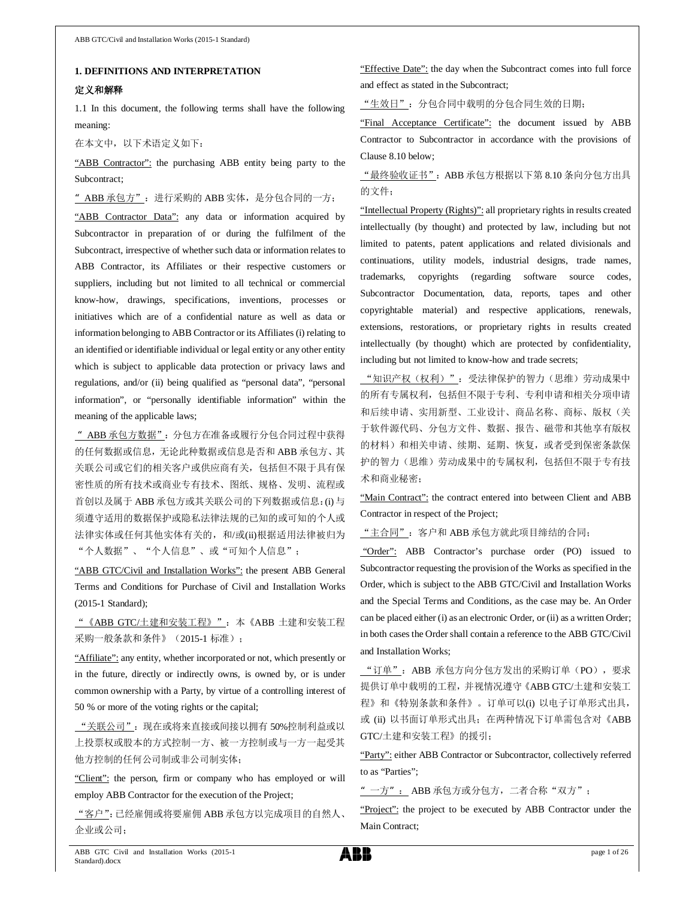#### **1. DEFINITIONS AND INTERPRETATION**

#### 定义和解释

1.1 In this document, the following terms shall have the following meaning:

在本文中,以下术语定义如下:

"ABB Contractor": the purchasing ABB entity being party to the Subcontract;

" ABB 承包方": 进行采购的 ABB 实体, 是分包合同的一方;

"ABB Contractor Data": any data or information acquired by Subcontractor in preparation of or during the fulfilment of the Subcontract, irrespective of whether such data or information relates to ABB Contractor, its Affiliates or their respective customers or suppliers, including but not limited to all technical or commercial know-how, drawings, specifications, inventions, processes or initiatives which are of a confidential nature as well as data or information belonging to ABB Contractor or its Affiliates (i) relating to an identified or identifiable individual or legal entity or any other entity which is subject to applicable data protection or privacy laws and regulations, and/or (ii) being qualified as "personal data", "personal information", or "personally identifiable information" within the meaning of the applicable laws;

"ABB 承包方数据":分包方在准备或履行分包合同过程中获得 的任何数据或信息,无论此种数据或信息是否和 ABB 承包方、其 关联公司或它们的相关客户或供应商有关,包括但不限于具有保 密性质的所有技术或商业专有技术、图纸、规格、发明、流程或 首创以及属于 ABB 承包方或其关联公司的下列数据或信息:(i) 与 须遵守适用的数据保护或隐私法律法规的已知的或可知的个人或 法律实体或任何其他实体有关的,和/或(ii)根据适用法律被归为 "个人数据"、"个人信息"、或"可知个人信息";

"ABB GTC/Civil and Installation Works": the present ABB General Terms and Conditions for Purchase of Civil and Installation Works (2015-1 Standard);

"《ABB GTC/土建和安装工程》":本《ABB 土建和安装工程 采购一般条款和条件》(2015-1 标准);

"Affiliate": any entity, whether incorporated or not, which presently or in the future, directly or indirectly owns, is owned by, or is under common ownership with a Party, by virtue of a controlling interest of 50 % or more of the voting rights or the capital;

"关联公司":现在或将来直接或间接以拥有 50%控制利益或以 上投票权或股本的方式控制一方、被一方控制或与一方一起受其 他方控制的任何公司制或非公司制实体;

"Client": the person, firm or company who has employed or will employ ABB Contractor for the execution of the Project;

"客户":已经雇佣或将要雇佣 ABB 承包方以完成项目的自然人、 企业或公司;

"Effective Date": the day when the Subcontract comes into full force and effect as stated in the Subcontract;

"生效日":分包合同中载明的分包合同生效的日期;

"Final Acceptance Certificate": the document issued by ABB Contractor to Subcontractor in accordance with the provisions of Clause 8.10 below;

"最终验收证书":ABB 承包方根据以下第 8.10 条向分包方出具 的文件;

"Intellectual Property (Rights)": all proprietary rights in results created intellectually (by thought) and protected by law, including but not limited to patents, patent applications and related divisionals and continuations, utility models, industrial designs, trade names, trademarks, copyrights (regarding software source codes, Subcontractor Documentation, data, reports, tapes and other copyrightable material) and respective applications, renewals, extensions, restorations, or proprietary rights in results created intellectually (by thought) which are protected by confidentiality, including but not limited to know-how and trade secrets;

"知识产权(权利)": 受法律保护的智力(思维)劳动成果中 的所有专属权利,包括但不限于专利、专利申请和相关分项申请 和后续申请、实用新型、工业设计、商品名称、商标、版权(关 于软件源代码、分包方文件、数据、报告、磁带和其他享有版权 的材料)和相关申请、续期、延期、恢复,或者受到保密条款保 护的智力(思维)劳动成果中的专属权利,包括但不限于专有技 术和商业秘密;

"Main Contract": the contract entered into between Client and ABB Contractor in respect of the Project;

"主合同":客户和 ABB 承包方就此项目缔结的合同;

 "Order": ABB Contractor's purchase order (PO) issued to Subcontractor requesting the provision of the Works as specified in the Order, which is subject to the ABB GTC/Civil and Installation Works and the Special Terms and Conditions, as the case may be. An Order can be placed either (i) as an electronic Order, or (ii) as a written Order; in both cases the Order shall contain a reference to the ABB GTC/Civil and Installation Works;

"订单":ABB 承包方向分包方发出的采购订单(PO),要求 提供订单中载明的工程,并视情况遵守《ABB GTC/土建和安装工 程》和《特别条款和条件》。订单可以(i) 以电子订单形式出具, 或 (ii) 以书面订单形式出具;在两种情况下订单需包含对《ABB GTC/土建和安装工程》的援引;

"Party": either ABB Contractor or Subcontractor, collectively referred to as "Parties";

"一方": ABB 承包方或分包方, 二者合称"双方";

"Project": the project to be executed by ABB Contractor under the Main Contract;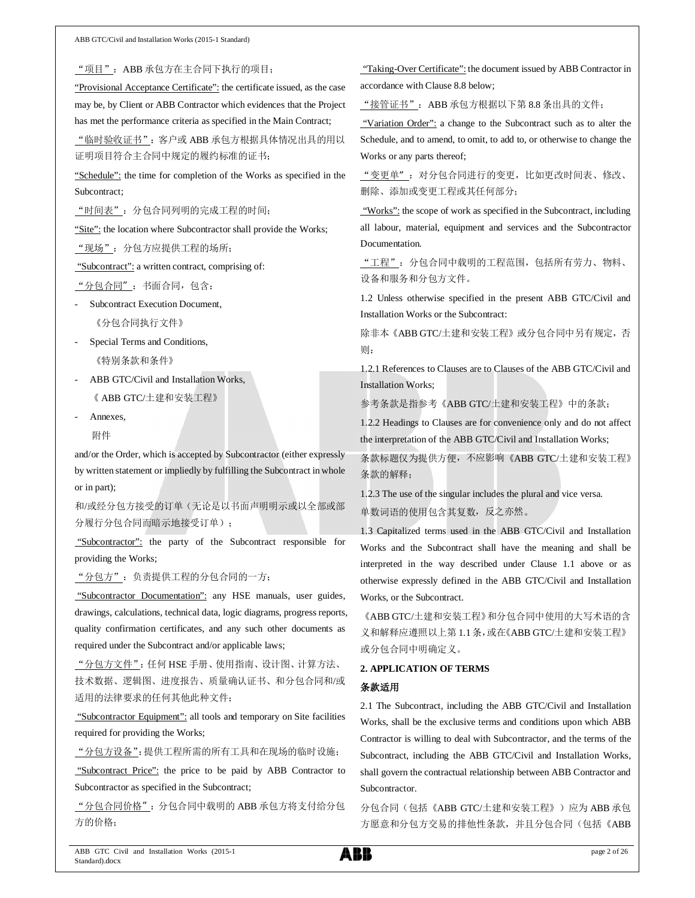"项目":ABB 承包方在主合同下执行的项目;

"Provisional Acceptance Certificate": the certificate issued, as the case may be, by Client or ABB Contractor which evidences that the Project has met the performance criteria as specified in the Main Contract;

"临时验收证书": 客户或 ABB 承包方根据具体情况出具的用以 证明项目符合主合同中规定的履约标准的证书;

"Schedule": the time for completion of the Works as specified in the Subcontract;

"时间表": 分包合同列明的完成工程的时间;

"Site": the location where Subcontractor shall provide the Works;

"现场":分包方应提供工程的场所;

"Subcontract": a written contract, comprising of:

"分包合同":书面合同,包含:

- Subcontract Execution Document,

《分包合同执行文件》

- Special Terms and Conditions, 《特别条款和条件》
- ABB GTC/Civil and Installation Works, 《 ABB GTC/土建和安装工程》

- Annexes,

附件

and/or the Order, which is accepted by Subcontractor (either expressly by written statement or impliedly by fulfilling the Subcontract in whole or in part);

和/或经分包方接受的订单(无论是以书面声明明示或以全部或部 分履行分包合同而暗示地接受订单);

"Subcontractor": the party of the Subcontract responsible for providing the Works;

"分包方":负责提供工程的分包合同的一方;

 "Subcontractor Documentation": any HSE manuals, user guides, drawings, calculations, technical data, logic diagrams, progress reports, quality confirmation certificates, and any such other documents as required under the Subcontract and/or applicable laws;

"分包方文件": 任何 HSE 手册、使用指南、设计图、计算方法、 技术数据、逻辑图、进度报告、质量确认证书、和分包合同和/或 适用的法律要求的任何其他此种文件;

"Subcontractor Equipment": all tools and temporary on Site facilities required for providing the Works;

"分包方设备":提供工程所需的所有工具和在现场的临时设施;

"Subcontract Price": the price to be paid by ABB Contractor to Subcontractor as specified in the Subcontract;

"分包合同价格":分包合同中载明的 ABB 承包方将支付给分包 方的价格;

 "Taking-Over Certificate": the document issued by ABB Contractor in accordance with Clause 8.8 below;

"接管证书":ABB 承包方根据以下第 8.8 条出具的文件;

"Variation Order": a change to the Subcontract such as to alter the Schedule, and to amend, to omit, to add to, or otherwise to change the Works or any parts thereof;

"变更单":对分包合同进行的变更,比如更改时间表、修改、 删除、添加或变更工程或其任何部分;

"Works": the scope of work as specified in the Subcontract, including all labour, material, equipment and services and the Subcontractor Documentation.

"工程":分包合同中载明的工程范围,包括所有劳力、物料、 设备和服务和分包方文件。

1.2 Unless otherwise specified in the present ABB GTC/Civil and Installation Works or the Subcontract:

除非本《ABB GTC/土建和安装工程》或分包合同中另有规定,否 则:

1.2.1 References to Clauses are to Clauses of the ABB GTC/Civil and Installation Works;

参考条款是指参考《ABB GTC/土建和安装工程》中的条款;

1.2.2 Headings to Clauses are for convenience only and do not affect the interpretation of the ABB GTC/Civil and Installation Works;

条款标题仅为提供方便,不应影响《ABB GTC/土建和安装工程》 条款的解释;

1.2.3 The use of the singular includes the plural and vice versa. 单数词语的使用包含其复数,反之亦然。

1.3 Capitalized terms used in the ABB GTC/Civil and Installation Works and the Subcontract shall have the meaning and shall be interpreted in the way described under Clause 1.1 above or as otherwise expressly defined in the ABB GTC/Civil and Installation Works, or the Subcontract.

《ABB GTC/土建和安装工程》和分包合同中使用的大写术语的含 义和解释应遵照以上第 1.1条,或在《ABB GTC/土建和安装工程》 或分包合同中明确定义。

### **2. APPLICATION OF TERMS**

#### 条款适用

2.1 The Subcontract, including the ABB GTC/Civil and Installation Works, shall be the exclusive terms and conditions upon which ABB Contractor is willing to deal with Subcontractor, and the terms of the Subcontract, including the ABB GTC/Civil and Installation Works, shall govern the contractual relationship between ABB Contractor and Subcontractor.

分包合同(包括《ABB GTC/土建和安装工程》)应为 ABB 承包 方愿意和分包方交易的排他性条款,并且分包合同(包括《ABB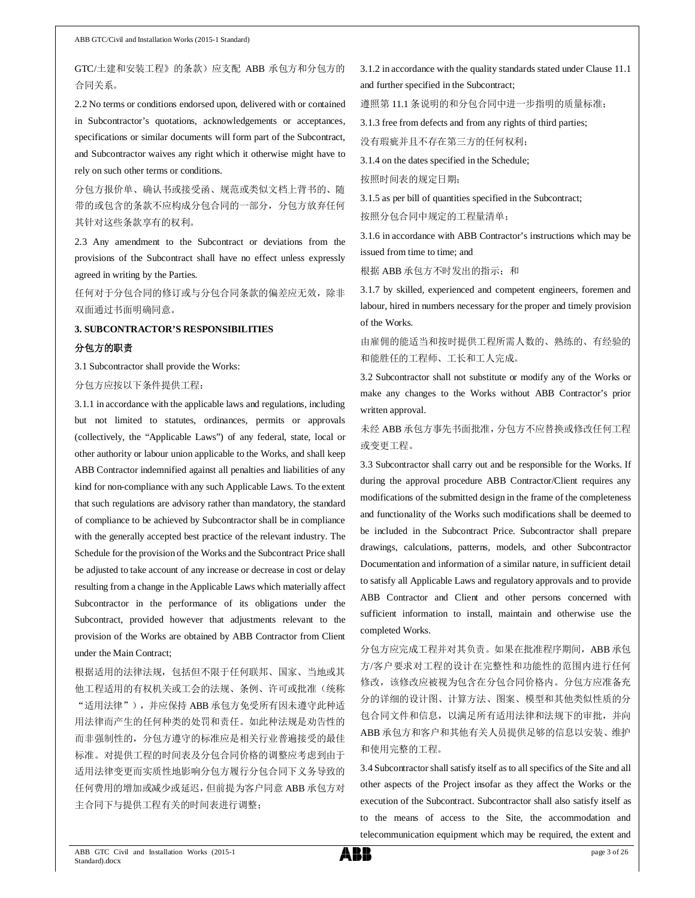GTC/土建和安装工程》的条款)应支配 ABB 承包方和分包方的 合同关系。

2.2 No terms or conditions endorsed upon, delivered with or contained in Subcontractor's quotations, acknowledgements or acceptances, specifications or similar documents will form part of the Subcontract, and Subcontractor waives any right which it otherwise might have to rely on such other terms or conditions.

分包方报价单、确认书或接受函、规范或类似文档上背书的、随 带的或包含的条款不应构成分包合同的一部分,分包方放弃任何 其针对这些条款享有的权利。

2.3 Any amendment to the Subcontract or deviations from the provisions of the Subcontract shall have no effect unless expressly agreed in writing by the Parties.

任何对于分包合同的修订或与分包合同条款的偏差应无效,除非 双面通过书面明确同意。

# **3. SUBCONTRACTOR'S RESPONSIBILITIES**

#### 分包方的职责

3.1 Subcontractor shall provide the Works:

#### 分包方应按以下条件提供工程:

3.1.1 in accordance with the applicable laws and regulations, including but not limited to statutes, ordinances, permits or approvals (collectively, the "Applicable Laws") of any federal, state, local or other authority or labour union applicable to the Works, and shall keep ABB Contractor indemnified against all penalties and liabilities of any kind for non-compliance with any such Applicable Laws. To the extent that such regulations are advisory rather than mandatory, the standard of compliance to be achieved by Subcontractor shall be in compliance with the generally accepted best practice of the relevant industry. The Schedule for the provision of the Works and the Subcontract Price shall be adjusted to take account of any increase or decrease in cost or delay resulting from a change in the Applicable Laws which materially affect Subcontractor in the performance of its obligations under the Subcontract, provided however that adjustments relevant to the provision of the Works are obtained by ABB Contractor from Client under the Main Contract;

根据适用的法律法规,包括但不限于任何联邦、国家、当地或其 他工程适用的有权机关或工会的法规、条例、许可或批准(统称 "适用法律"),并应保持 ABB 承包方免受所有因未遵守此种适 用法律而产生的任何种类的处罚和责任。如此种法规是劝告性的 而非强制性的,分包方遵守的标准应是相关行业普遍接受的最佳 标准。对提供工程的时间表及分包合同价格的调整应考虑到由于 适用法律变更而实质性地影响分包方履行分包合同下义务导致的 任何费用的增加或减少或延迟,但前提为客户同意 ABB 承包方对 主合同下与提供工程有关的时间表进行调整;

3.1.2 in accordance with the quality standards stated under Clause 11.1 and further specified in the Subcontract;

遵照第 11.1 条说明的和分包合同中进一步指明的质量标准;

3.1.3 free from defects and from any rights of third parties;

没有瑕疵并且不存在第三方的任何权利;

3.1.4 on the dates specified in the Schedule;

按照时间表的规定日期;

3.1.5 as per bill of quantities specified in the Subcontract; 按照分包合同中规定的工程量清单;

3.1.6 in accordance with ABB Contractor's instructions which may be issued from time to time; and

根据 ABB 承包方不时发出的指示; 和

3.1.7 by skilled, experienced and competent engineers, foremen and labour, hired in numbers necessary for the proper and timely provision of the Works.

由雇佣的能适当和按时提供工程所需人数的、熟练的、有经验的 和能胜任的工程师、工长和工人完成。

3.2 Subcontractor shall not substitute or modify any of the Works or make any changes to the Works without ABB Contractor's prior written approval.

未经 ABB 承包方事先书面批准,分包方不应替换或修改任何工程 或变更工程。

3.3 Subcontractor shall carry out and be responsible for the Works. If during the approval procedure ABB Contractor/Client requires any modifications of the submitted design in the frame of the completeness and functionality of the Works such modifications shall be deemed to be included in the Subcontract Price. Subcontractor shall prepare drawings, calculations, patterns, models, and other Subcontractor Documentation and information of a similar nature, in sufficient detail to satisfy all Applicable Laws and regulatory approvals and to provide ABB Contractor and Client and other persons concerned with sufficient information to install, maintain and otherwise use the completed Works.

分包方应完成工程并对其负责。如果在批准程序期间, ABB 承包 方/客户要求对工程的设计在完整性和功能性的范围内进行任何 修改,该修改应被视为包含在分包合同价格内。分包方应准备充 分的详细的设计图、计算方法、图案、模型和其他类似性质的分 包合同文件和信息,以满足所有适用法律和法规下的审批,并向 ABB 承包方和客户和其他有关人员提供足够的信息以安装、维护 和使用完整的工程。

3.4 Subcontractor shall satisfy itself as to all specifics of the Site and all other aspects of the Project insofar as they affect the Works or the execution of the Subcontract. Subcontractor shall also satisfy itself as to the means of access to the Site, the accommodation and telecommunication equipment which may be required, the extent and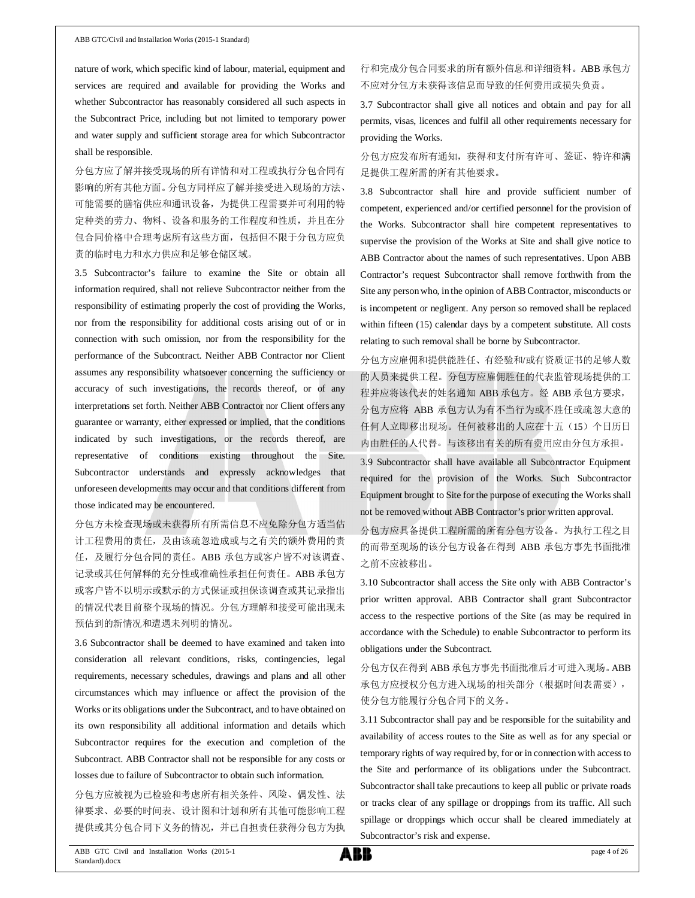nature of work, which specific kind of labour, material, equipment and services are required and available for providing the Works and whether Subcontractor has reasonably considered all such aspects in the Subcontract Price, including but not limited to temporary power and water supply and sufficient storage area for which Subcontractor shall be responsible.

分包方应了解并接受现场的所有详情和对工程或执行分包合同有 影响的所有其他方面。分包方同样应了解并接受进入现场的方法、 可能需要的膳宿供应和通讯设备,为提供工程需要并可利用的特 定种类的劳力、物料、设备和服务的工作程度和性质,并且在分 包合同价格中合理考虑所有这些方面,包括但不限于分包方应负 责的临时电力和水力供应和足够仓储区域。

3.5 Subcontractor's failure to examine the Site or obtain all information required, shall not relieve Subcontractor neither from the responsibility of estimating properly the cost of providing the Works, nor from the responsibility for additional costs arising out of or in connection with such omission, nor from the responsibility for the performance of the Subcontract. Neither ABB Contractor nor Client assumes any responsibility whatsoever concerning the sufficiency or accuracy of such investigations, the records thereof, or of any interpretations set forth. Neither ABB Contractor nor Client offers any guarantee or warranty, either expressed or implied, that the conditions indicated by such investigations, or the records thereof, are representative of conditions existing throughout the Site. Subcontractor understands and expressly acknowledges that unforeseen developments may occur and that conditions different from those indicated may be encountered.

分包方未检查现场或未获得所有所需信息不应免除分包方适当估 计工程费用的责任,及由该疏忽造成或与之有关的额外费用的责 任,及履行分包合同的责任。ABB 承包方或客户皆不对该调查、 记录或其任何解释的充分性或准确性承担任何责任。ABB 承包方 或客户皆不以明示或默示的方式保证或担保该调查或其记录指出 的情况代表目前整个现场的情况。分包方理解和接受可能出现未 预估到的新情况和遭遇未列明的情况。

3.6 Subcontractor shall be deemed to have examined and taken into consideration all relevant conditions, risks, contingencies, legal requirements, necessary schedules, drawings and plans and all other circumstances which may influence or affect the provision of the Works or its obligations under the Subcontract, and to have obtained on its own responsibility all additional information and details which Subcontractor requires for the execution and completion of the Subcontract. ABB Contractor shall not be responsible for any costs or losses due to failure of Subcontractor to obtain such information.

分包方应被视为已检验和考虑所有相关条件、风险、偶发性、法 律要求、必要的时间表、设计图和计划和所有其他可能影响工程 提供或其分包合同下义务的情况,并已自担责任获得分包方为执 行和完成分包合同要求的所有额外信息和详细资料。ABB 承包方 不应对分包方未获得该信息而导致的任何费用或损失负责。

3.7 Subcontractor shall give all notices and obtain and pay for all permits, visas, licences and fulfil all other requirements necessary for providing the Works.

### 分包方应发布所有通知,获得和支付所有许可、签证、特许和满 足提供工程所需的所有其他要求。

3.8 Subcontractor shall hire and provide sufficient number of competent, experienced and/or certified personnel for the provision of the Works. Subcontractor shall hire competent representatives to supervise the provision of the Works at Site and shall give notice to ABB Contractor about the names of such representatives. Upon ABB Contractor's request Subcontractor shall remove forthwith from the Site any person who, in the opinion of ABB Contractor, misconducts or is incompetent or negligent. Any person so removed shall be replaced within fifteen (15) calendar days by a competent substitute. All costs relating to such removal shall be borne by Subcontractor.

分包方应雇佣和提供能胜任、有经验和/或有资质证书的足够人数 的人员来提供工程。分包方应雇佣胜任的代表监管现场提供的工 程并应将该代表的姓名通知 ABB 承包方。经 ABB 承包方要求, 分包方应将 ABB 承包方认为有不当行为或不胜任或疏忽大意的 任何人立即移出现场。任何被移出的人应在十五(15)个日历日 内由胜任的人代替。与该移出有关的所有费用应由分包方承担。

3.9 Subcontractor shall have available all Subcontractor Equipment required for the provision of the Works. Such Subcontractor Equipment brought to Site for the purpose of executing the Works shall not be removed without ABB Contractor's prior written approval.

分包方应具备提供工程所需的所有分包方设备。为执行工程之目 的而带至现场的该分包方设备在得到 ABB 承包方事先书面批准 之前不应被移出。

3.10 Subcontractor shall access the Site only with ABB Contractor's prior written approval. ABB Contractor shall grant Subcontractor access to the respective portions of the Site (as may be required in accordance with the Schedule) to enable Subcontractor to perform its obligations under the Subcontract.

分包方仅在得到 ABB 承包方事先书面批准后才可进入现场。ABB 承包方应授权分包方进入现场的相关部分(根据时间表需要), 使分包方能履行分包合同下的义务。

3.11 Subcontractor shall pay and be responsible for the suitability and availability of access routes to the Site as well as for any special or temporary rights of way required by, for or in connection with access to the Site and performance of its obligations under the Subcontract. Subcontractor shall take precautions to keep all public or private roads or tracks clear of any spillage or droppings from its traffic. All such spillage or droppings which occur shall be cleared immediately at Subcontractor's risk and expense.

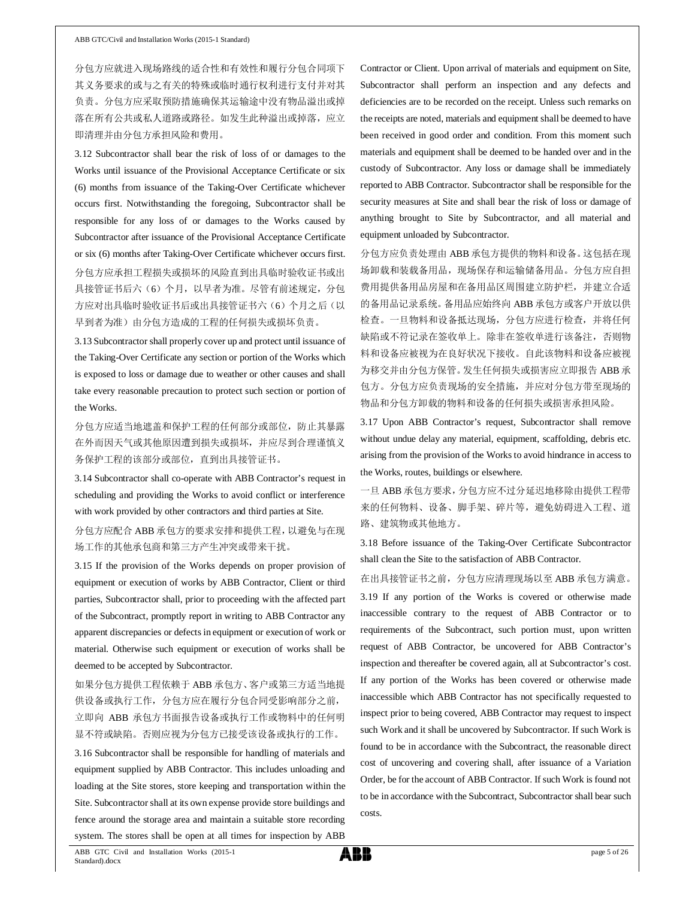分包方应就进入现场路线的适合性和有效性和履行分包合同项下 其义务要求的或与之有关的特殊或临时通行权利进行支付并对其 负责。分包方应采取预防措施确保其运输途中没有物品溢出或掉 落在所有公共或私人道路或路径。如发生此种溢出或掉落,应立 即清理并由分包方承担风险和费用。

3.12 Subcontractor shall bear the risk of loss of or damages to the Works until issuance of the Provisional Acceptance Certificate or six (6) months from issuance of the Taking-Over Certificate whichever occurs first. Notwithstanding the foregoing, Subcontractor shall be responsible for any loss of or damages to the Works caused by Subcontractor after issuance of the Provisional Acceptance Certificate or six (6) months after Taking-Over Certificate whichever occurs first. 分包方应承担工程损失或损坏的风险直到出具临时验收证书或出 具接管证书后六(6)个月,以早者为准。尽管有前述规定,分包 方应对出具临时验收证书后或出具接管证书六(6)个月之后(以 早到者为准)由分包方造成的工程的任何损失或损坏负责。

3.13 Subcontractor shall properly cover up and protect until issuance of the Taking-Over Certificate any section or portion of the Works which is exposed to loss or damage due to weather or other causes and shall take every reasonable precaution to protect such section or portion of the Works.

分包方应适当地遮盖和保护工程的任何部分或部位,防止其暴露 在外而因天气或其他原因遭到损失或损坏,并应尽到合理谨慎义 务保护工程的该部分或部位,直到出具接管证书。

3.14 Subcontractor shall co-operate with ABB Contractor's request in scheduling and providing the Works to avoid conflict or interference with work provided by other contractors and third parties at Site.

分包方应配合 ABB 承包方的要求安排和提供工程,以避免与在现 场工作的其他承包商和第三方产生冲突或带来干扰。

3.15 If the provision of the Works depends on proper provision of equipment or execution of works by ABB Contractor, Client or third parties, Subcontractor shall, prior to proceeding with the affected part of the Subcontract, promptly report in writing to ABB Contractor any apparent discrepancies or defects in equipment or execution of work or material. Otherwise such equipment or execution of works shall be deemed to be accepted by Subcontractor.

如果分包方提供工程依赖于 ABB 承包方、客户或第三方适当地提 供设备或执行工作,分包方应在履行分包合同受影响部分之前, 立即向 ABB 承包方书面报告设备或执行工作或物料中的任何明 显不符或缺陷。否则应视为分包方已接受该设备或执行的工作。

3.16 Subcontractor shall be responsible for handling of materials and equipment supplied by ABB Contractor. This includes unloading and loading at the Site stores, store keeping and transportation within the Site. Subcontractor shall at its own expense provide store buildings and fence around the storage area and maintain a suitable store recording system. The stores shall be open at all times for inspection by ABB

Contractor or Client. Upon arrival of materials and equipment on Site, Subcontractor shall perform an inspection and any defects and deficiencies are to be recorded on the receipt. Unless such remarks on the receipts are noted, materials and equipment shall be deemed to have been received in good order and condition. From this moment such materials and equipment shall be deemed to be handed over and in the custody of Subcontractor. Any loss or damage shall be immediately reported to ABB Contractor. Subcontractor shall be responsible for the security measures at Site and shall bear the risk of loss or damage of anything brought to Site by Subcontractor, and all material and equipment unloaded by Subcontractor.

分包方应负责处理由 ABB 承包方提供的物料和设备。这包括在现 场卸载和装载备用品,现场保存和运输储备用品。分包方应自担 费用提供备用品房屋和在备用品区周围建立防护栏,并建立合适 的备用品记录系统。备用品应始终向 ABB 承包方或客户开放以供 检查。一旦物料和设备抵达现场,分包方应进行检查,并将任何 缺陷或不符记录在签收单上。除非在签收单进行该备注,否则物 料和设备应被视为在良好状况下接收。自此该物料和设备应被视 为移交并由分包方保管。发生任何损失或损害应立即报告 ABB 承 包方。分包方应负责现场的安全措施,并应对分包方带至现场的 物品和分包方卸载的物料和设备的任何损失或损害承担风险。

3.17 Upon ABB Contractor's request, Subcontractor shall remove without undue delay any material, equipment, scaffolding, debris etc. arising from the provision of the Works to avoid hindrance in access to the Works, routes, buildings or elsewhere.

一旦 ABB 承包方要求,分包方应不过分延迟地移除由提供工程带 来的任何物料、设备、脚手架、碎片等,避免妨碍进入工程、道 路、建筑物或其他地方。

3.18 Before issuance of the Taking-Over Certificate Subcontractor shall clean the Site to the satisfaction of ABB Contractor.

在出具接管证书之前,分包方应清理现场以至 ABB 承包方满意。 3.19 If any portion of the Works is covered or otherwise made inaccessible contrary to the request of ABB Contractor or to requirements of the Subcontract, such portion must, upon written request of ABB Contractor, be uncovered for ABB Contractor's inspection and thereafter be covered again, all at Subcontractor's cost. If any portion of the Works has been covered or otherwise made inaccessible which ABB Contractor has not specifically requested to inspect prior to being covered, ABB Contractor may request to inspect such Work and it shall be uncovered by Subcontractor. If such Work is found to be in accordance with the Subcontract, the reasonable direct cost of uncovering and covering shall, after issuance of a Variation Order, be for the account of ABB Contractor. If such Work is found not to be in accordance with the Subcontract, Subcontractor shall bear such costs.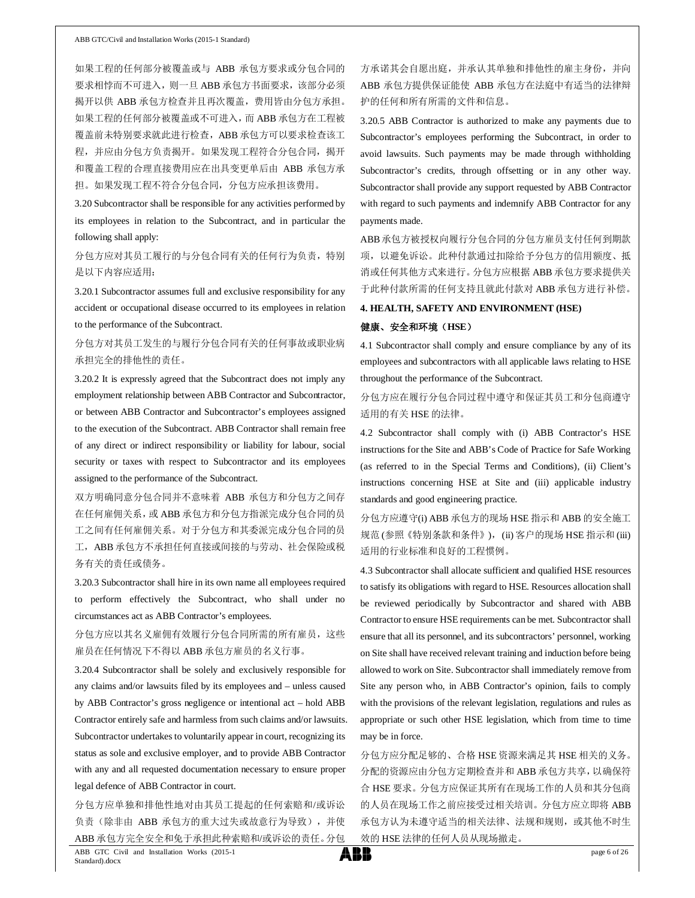如果工程的任何部分被覆盖或与 ABB 承包方要求或分包合同的 要求相悖而不可进入,则一旦 ABB 承包方书面要求,该部分必须 揭开以供 ABB 承包方检查并且再次覆盖,费用皆由分包方承担。 如果工程的任何部分被覆盖或不可进入,而 ABB 承包方在工程被 覆盖前未特别要求就此进行检查, ABB 承包方可以要求检查该工 程,并应由分包方负责揭开。如果发现工程符合分包合同,揭开 和覆盖工程的合理直接费用应在出具变更单后由 ABB 承包方承 担。如果发现工程不符合分包合同,分包方应承担该费用。

3.20 Subcontractor shall be responsible for any activities performed by its employees in relation to the Subcontract, and in particular the following shall apply:

分包方应对其员工履行的与分包合同有关的任何行为负责,特别 是以下内容应适用:

3.20.1 Subcontractor assumes full and exclusive responsibility for any accident or occupational disease occurred to its employees in relation to the performance of the Subcontract.

# 分包方对其员工发生的与履行分包合同有关的任何事故或职业病 承担完全的排他性的责任。

3.20.2 It is expressly agreed that the Subcontract does not imply any employment relationship between ABB Contractor and Subcontractor, or between ABB Contractor and Subcontractor's employees assigned to the execution of the Subcontract. ABB Contractor shall remain free of any direct or indirect responsibility or liability for labour, social security or taxes with respect to Subcontractor and its employees assigned to the performance of the Subcontract.

双方明确同意分包合同并不意味着 ABB 承包方和分包方之间存 在任何雇佣关系,或 ABB 承包方和分包方指派完成分包合同的员 工之间有任何雇佣关系。对于分包方和其委派完成分包合同的员 工, ABB 承包方不承担任何直接或间接的与劳动、社会保险或税 务有关的责任或债务。

3.20.3 Subcontractor shall hire in its own name all employees required to perform effectively the Subcontract, who shall under no circumstances act as ABB Contractor's employees.

分包方应以其名义雇佣有效履行分包合同所需的所有雇员,这些 雇员在任何情况下不得以 ABB 承包方雇员的名义行事。

3.20.4 Subcontractor shall be solely and exclusively responsible for any claims and/or lawsuits filed by its employees and – unless caused by ABB Contractor's gross negligence or intentional act – hold ABB Contractor entirely safe and harmless from such claims and/or lawsuits. Subcontractor undertakes to voluntarily appear in court, recognizing its status as sole and exclusive employer, and to provide ABB Contractor with any and all requested documentation necessary to ensure proper legal defence of ABB Contractor in court.

分包方应单独和排他性地对由其员工提起的任何索赔和/或诉讼 负责(除非由 ABB 承包方的重大过失或故意行为导致), 并使 ABB 承包方完全安全和免于承担此种索赔和/或诉讼的责任。分包

方承诺其会自愿出庭,并承认其单独和排他性的雇主身份,并向 ABB 承包方提供保证能使 ABB 承包方在法庭中有适当的法律辩 护的任何和所有所需的文件和信息。

3.20.5 ABB Contractor is authorized to make any payments due to Subcontractor's employees performing the Subcontract, in order to avoid lawsuits. Such payments may be made through withholding Subcontractor's credits, through offsetting or in any other way. Subcontractor shall provide any support requested by ABB Contractor with regard to such payments and indemnify ABB Contractor for any payments made.

ABB承包方被授权向履行分包合同的分包方雇员支付任何到期款 项,以避免诉讼。此种付款通过扣除给予分包方的信用额度、抵 消或任何其他方式来进行。分包方应根据 ABB 承包方要求提供关 于此种付款所需的任何支持且就此付款对 ABB 承包方进行补偿。

#### **4. HEALTH, SAFETY AND ENVIRONMENT (HSE)**

#### 健康、安全和环境(**HSE**)

4.1 Subcontractor shall comply and ensure compliance by any of its employees and subcontractors with all applicable laws relating to HSE throughout the performance of the Subcontract.

### 分包方应在履行分包合同过程中遵守和保证其员工和分包商遵守 适用的有关 HSE 的法律。

4.2 Subcontractor shall comply with (i) ABB Contractor's HSE instructions for the Site and ABB's Code of Practice for Safe Working (as referred to in the Special Terms and Conditions), (ii) Client's instructions concerning HSE at Site and (iii) applicable industry standards and good engineering practice.

分包方应遵守(i) ABB 承包方的现场 HSE 指示和 ABB 的安全施工 规范 (参照《特别条款和条件》), (ii) 客户的现场 HSE 指示和 (iii) 适用的行业标准和良好的工程惯例。

4.3 Subcontractor shall allocate sufficient and qualified HSE resources to satisfy its obligations with regard to HSE. Resources allocation shall be reviewed periodically by Subcontractor and shared with ABB Contractor to ensure HSE requirements can be met. Subcontractor shall ensure that all its personnel, and its subcontractors' personnel, working on Site shall have received relevant training and induction before being allowed to work on Site. Subcontractor shall immediately remove from Site any person who, in ABB Contractor's opinion, fails to comply with the provisions of the relevant legislation, regulations and rules as appropriate or such other HSE legislation, which from time to time may be in force.

分包方应分配足够的、合格 HSE 资源来满足其 HSE 相关的义务。 分配的资源应由分包方定期检查并和 ABB 承包方共享,以确保符 合 HSE 要求。分包方应保证其所有在现场工作的人员和其分包商 的人员在现场工作之前应接受过相关培训。分包方应立即将 ABB 承包方认为未遵守适当的相关法律、法规和规则,或其他不时生 效的 HSE 法律的任何人员从现场撤走。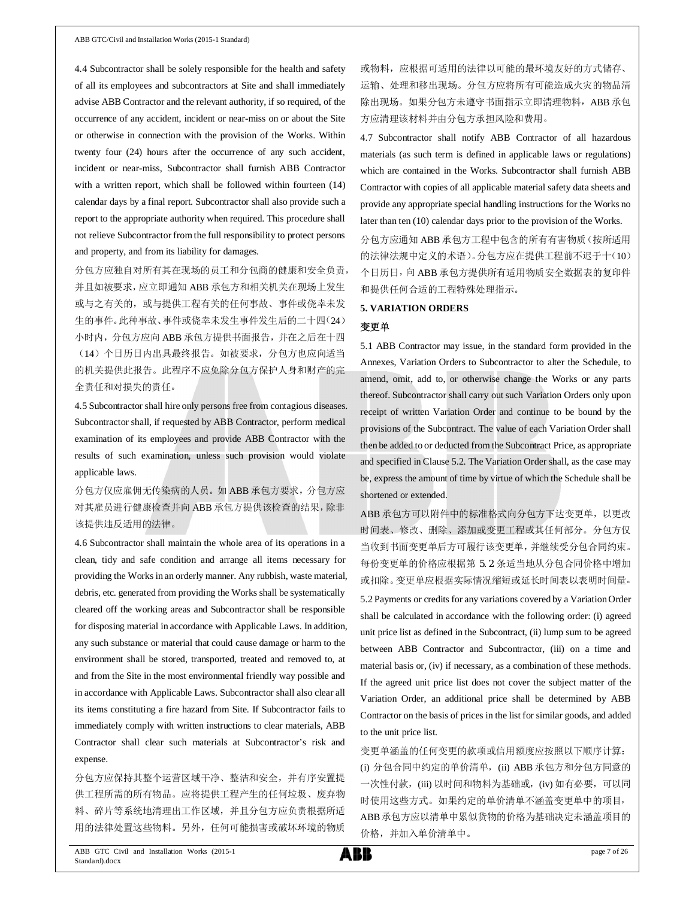4.4 Subcontractor shall be solely responsible for the health and safety of all its employees and subcontractors at Site and shall immediately advise ABB Contractor and the relevant authority, if so required, of the occurrence of any accident, incident or near-miss on or about the Site or otherwise in connection with the provision of the Works. Within twenty four (24) hours after the occurrence of any such accident, incident or near-miss, Subcontractor shall furnish ABB Contractor with a written report, which shall be followed within fourteen (14) calendar days by a final report. Subcontractor shall also provide such a report to the appropriate authority when required. This procedure shall not relieve Subcontractor from the full responsibility to protect persons and property, and from its liability for damages.

分包方应独自对所有其在现场的员工和分包商的健康和安全负责, 并且如被要求,应立即通知 ABB 承包方和相关机关在现场上发生 或与之有关的,或与提供工程有关的任何事故、事件或侥幸未发 生的事件。此种事故、事件或侥幸未发生事件发生后的二十四(24) 小时内,分包方应向 ABB 承包方提供书面报告,并在之后在十四 (14)个日历日内出具最终报告。如被要求,分包方也应向适当 的机关提供此报告。此程序不应免除分包方保护人身和财产的完 全责任和对损失的责任。

4.5 Subcontractor shall hire only persons free from contagious diseases. Subcontractor shall, if requested by ABB Contractor, perform medical examination of its employees and provide ABB Contractor with the results of such examination, unless such provision would violate applicable laws.

分包方仅应雇佣无传染病的人员。如 ABB 承包方要求,分包方应 对其雇员进行健康检查并向 ABB 承包方提供该检查的结果,除非 该提供违反适用的法律。

4.6 Subcontractor shall maintain the whole area of its operations in a clean, tidy and safe condition and arrange all items necessary for providing the Works in an orderly manner. Any rubbish, waste material, debris, etc. generated from providing the Works shall be systematically cleared off the working areas and Subcontractor shall be responsible for disposing material in accordance with Applicable Laws. In addition, any such substance or material that could cause damage or harm to the environment shall be stored, transported, treated and removed to, at and from the Site in the most environmental friendly way possible and in accordance with Applicable Laws. Subcontractor shall also clear all its items constituting a fire hazard from Site. If Subcontractor fails to immediately comply with written instructions to clear materials, ABB Contractor shall clear such materials at Subcontractor's risk and expense.

分包方应保持其整个运营区域干净、整洁和安全,并有序安置提 供工程所需的所有物品。应将提供工程产生的任何垃圾、废弃物 料、碎片等系统地清理出工作区域,并且分包方应负责根据所适 用的法律处置这些物料。另外,任何可能损害或破坏环境的物质

或物料,应根据可适用的法律以可能的最环境友好的方式储存、 运输、处理和移出现场。分包方应将所有可能造成火灾的物品清 除出现场。如果分包方未遵守书面指示立即清理物料, ABB 承包 方应清理该材料并由分包方承担风险和费用。

4.7 Subcontractor shall notify ABB Contractor of all hazardous materials (as such term is defined in applicable laws or regulations) which are contained in the Works. Subcontractor shall furnish ABB Contractor with copies of all applicable material safety data sheets and provide any appropriate special handling instructions for the Works no later than ten (10) calendar days prior to the provision of the Works.

分包方应通知 ABB 承包方工程中包含的所有有害物质(按所适用 的法律法规中定义的术语)。分包方应在提供工程前不迟于十(10) 个日历日,向 ABB 承包方提供所有适用物质安全数据表的复印件 和提供任何合适的工程特殊处理指示。

#### **5. VARIATION ORDERS**

#### 变更单

5.1 ABB Contractor may issue, in the standard form provided in the Annexes, Variation Orders to Subcontractor to alter the Schedule, to amend, omit, add to, or otherwise change the Works or any parts thereof. Subcontractor shall carry out such Variation Orders only upon receipt of written Variation Order and continue to be bound by the provisions of the Subcontract. The value of each Variation Order shall then be added to or deducted from the Subcontract Price, as appropriate and specified in Clause 5.2. The Variation Order shall, as the case may be, express the amount of time by virtue of which the Schedule shall be shortened or extended.

ABB 承包方可以附件中的标准格式向分包方下达变更单,以更改 时间表、修改、删除、添加或变更工程或其任何部分。分包方仅 当收到书面变更单后方可履行该变更单,并继续受分包合同约束。 每份变更单的价格应根据第 5.2 条适当地从分包合同价格中增加 或扣除。变更单应根据实际情况缩短或延长时间表以表明时间量。

5.2 Payments or credits for any variations covered by a Variation Order shall be calculated in accordance with the following order: (i) agreed unit price list as defined in the Subcontract, (ii) lump sum to be agreed between ABB Contractor and Subcontractor, (iii) on a time and material basis or, (iv) if necessary, as a combination of these methods. If the agreed unit price list does not cover the subject matter of the Variation Order, an additional price shall be determined by ABB Contractor on the basis of prices in the list for similar goods, and added to the unit price list.

变更单涵盖的任何变更的款项或信用额度应按照以下顺序计算: (i) 分包合同中约定的单价清单, (ii) ABB 承包方和分包方同意的 一次性付款,(iii) 以时间和物料为基础或,(iv) 如有必要,可以同 时使用这些方式。如果约定的单价清单不涵盖变更单中的项目, ABB承包方应以清单中累似货物的价格为基础决定未涵盖项目的 价格,并加入单价清单中。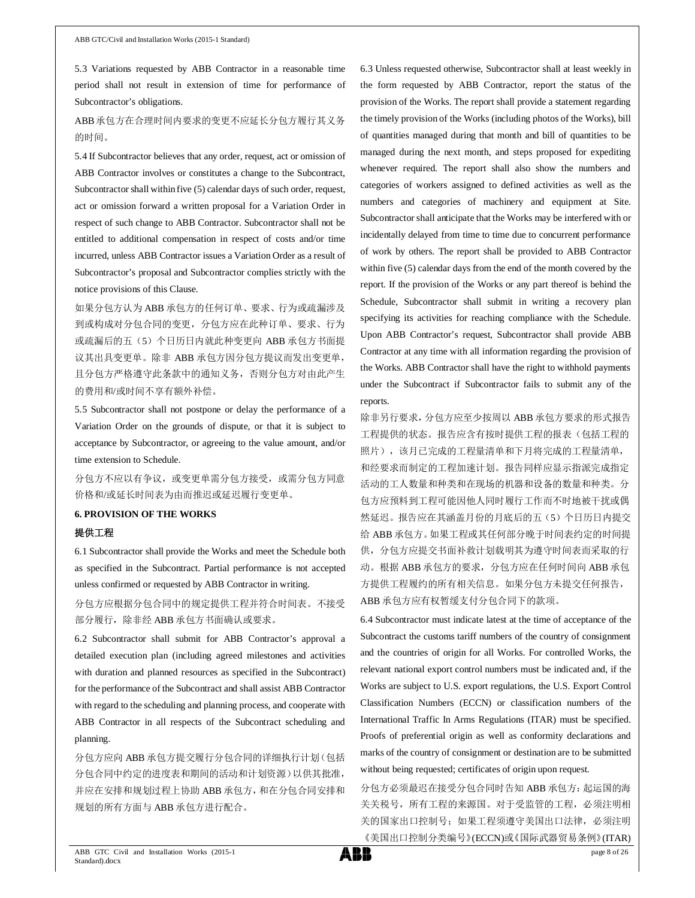5.3 Variations requested by ABB Contractor in a reasonable time period shall not result in extension of time for performance of Subcontractor's obligations.

ABB承包方在合理时间内要求的变更不应延长分包方履行其义务 的时间。

5.4 If Subcontractor believes that any order, request, act or omission of ABB Contractor involves or constitutes a change to the Subcontract, Subcontractor shall within five (5) calendar days of such order, request, act or omission forward a written proposal for a Variation Order in respect of such change to ABB Contractor. Subcontractor shall not be entitled to additional compensation in respect of costs and/or time incurred, unless ABB Contractor issues a Variation Order as a result of Subcontractor's proposal and Subcontractor complies strictly with the notice provisions of this Clause.

如果分包方认为 ABB 承包方的任何订单、要求、行为或疏漏涉及 到或构成对分包合同的变更,分包方应在此种订单、要求、行为 或疏漏后的五(5)个日历日内就此种变更向 ABB 承包方书面提 议其出具变更单。除非 ABB 承包方因分包方提议而发出变更单, 且分包方严格遵守此条款中的通知义务,否则分包方对由此产生 的费用和/或时间不享有额外补偿。

5.5 Subcontractor shall not postpone or delay the performance of a Variation Order on the grounds of dispute, or that it is subject to acceptance by Subcontractor, or agreeing to the value amount, and/or time extension to Schedule.

分包方不应以有争议,或变更单需分包方接受,或需分包方同意 价格和/或延长时间表为由而推迟或延迟履行变更单。

#### **6. PROVISION OF THE WORKS**

#### 提供工程

6.1 Subcontractor shall provide the Works and meet the Schedule both as specified in the Subcontract. Partial performance is not accepted unless confirmed or requested by ABB Contractor in writing.

分包方应根据分包合同中的规定提供工程并符合时间表。不接受 部分履行,除非经 ABB 承包方书面确认或要求。

6.2 Subcontractor shall submit for ABB Contractor's approval a detailed execution plan (including agreed milestones and activities with duration and planned resources as specified in the Subcontract) for the performance of the Subcontract and shall assist ABB Contractor with regard to the scheduling and planning process, and cooperate with ABB Contractor in all respects of the Subcontract scheduling and planning.

分包方应向 ABB 承包方提交履行分包合同的详细执行计划(包括 分包合同中约定的进度表和期间的活动和计划资源)以供其批准, 并应在安排和规划过程上协助 ABB 承包方,和在分包合同安排和 规划的所有方面与 ABB 承包方进行配合。

6.3 Unless requested otherwise, Subcontractor shall at least weekly in the form requested by ABB Contractor, report the status of the provision of the Works. The report shall provide a statement regarding the timely provision of the Works (including photos of the Works), bill of quantities managed during that month and bill of quantities to be managed during the next month, and steps proposed for expediting whenever required. The report shall also show the numbers and categories of workers assigned to defined activities as well as the numbers and categories of machinery and equipment at Site. Subcontractor shall anticipate that the Works may be interfered with or incidentally delayed from time to time due to concurrent performance of work by others. The report shall be provided to ABB Contractor within five (5) calendar days from the end of the month covered by the report. If the provision of the Works or any part thereof is behind the Schedule, Subcontractor shall submit in writing a recovery plan specifying its activities for reaching compliance with the Schedule. Upon ABB Contractor's request, Subcontractor shall provide ABB Contractor at any time with all information regarding the provision of the Works. ABB Contractor shall have the right to withhold payments under the Subcontract if Subcontractor fails to submit any of the reports.

除非另行要求,分包方应至少按周以 ABB 承包方要求的形式报告 工程提供的状态。报告应含有按时提供工程的报表(包括工程的 照片),该月已完成的工程量清单和下月将完成的工程量清单, 和经要求而制定的工程加速计划。报告同样应显示指派完成指定 活动的工人数量和种类和在现场的机器和设备的数量和种类。分 包方应预料到工程可能因他人同时履行工作而不时地被干扰或偶 然延迟。报告应在其涵盖月份的月底后的五(5)个日历日内提交 给 ABB 承包方。如果工程或其任何部分晚于时间表约定的时间提 供,分包方应提交书面补救计划载明其为遵守时间表而采取的行 动。根据 ABB 承包方的要求,分包方应在任何时间向 ABB 承包 方提供工程履约的所有相关信息。如果分包方未提交任何报告, ABB 承包方应有权暂缓支付分包合同下的款项。

6.4 Subcontractor must indicate latest at the time of acceptance of the Subcontract the customs tariff numbers of the country of consignment and the countries of origin for all Works. For controlled Works, the relevant national export control numbers must be indicated and, if the Works are subject to U.S. export regulations, the U.S. Export Control Classification Numbers (ECCN) or classification numbers of the International Traffic In Arms Regulations (ITAR) must be specified. Proofs of preferential origin as well as conformity declarations and marks of the country of consignment or destination are to be submitted without being requested; certificates of origin upon request.

分包方必须最迟在接受分包合同时告知 ABB 承包方:起运国的海 关关税号,所有工程的来源国。对于受监管的工程,必须注明相 关的国家出口控制号;如果工程须遵守美国出口法律,必须注明 《美国出口控制分类编号》(ECCN)或《国际武器贸易条例》(ITAR)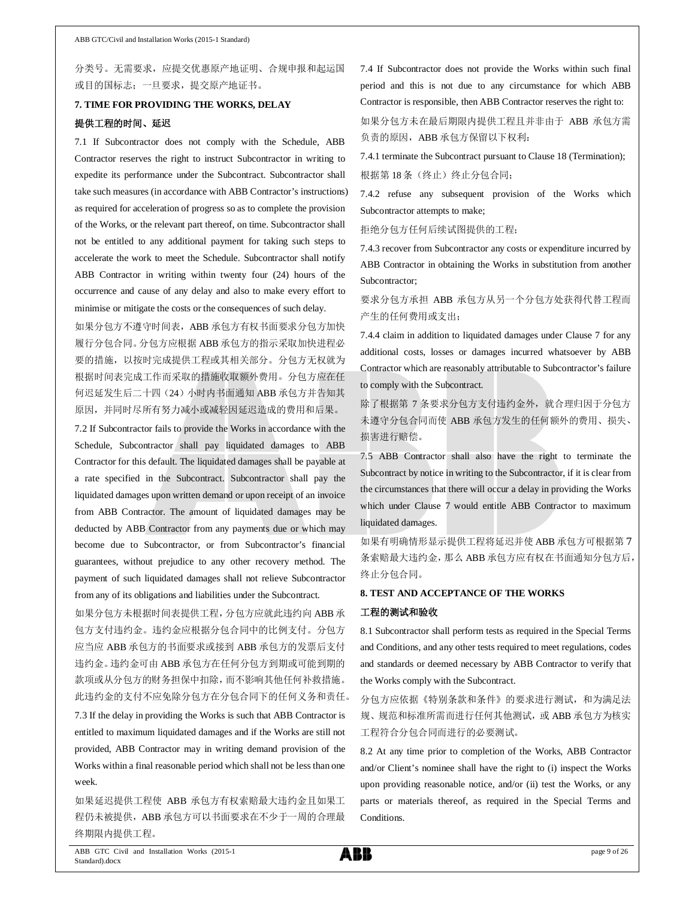分类号。无需要求,应提交优惠原产地证明、合规申报和起运国 或目的国标志;一旦要求,提交原产地证书。

# **7. TIME FOR PROVIDING THE WORKS, DELAY** 提供工程的时间、延迟

7.1 If Subcontractor does not comply with the Schedule, ABB Contractor reserves the right to instruct Subcontractor in writing to expedite its performance under the Subcontract. Subcontractor shall take such measures (in accordance with ABB Contractor's instructions) as required for acceleration of progress so as to complete the provision of the Works, or the relevant part thereof, on time. Subcontractor shall not be entitled to any additional payment for taking such steps to accelerate the work to meet the Schedule. Subcontractor shall notify ABB Contractor in writing within twenty four (24) hours of the occurrence and cause of any delay and also to make every effort to minimise or mitigate the costs or the consequences of such delay.

如果分包方不遵守时间表,ABB 承包方有权书面要求分包方加快 履行分包合同。分包方应根据 ABB 承包方的指示采取加快进程必 要的措施,以按时完成提供工程或其相关部分。分包方无权就为 根据时间表完成工作而采取的措施收取额外费用。分包方应在任 何迟延发生后二十四(24)小时内书面通知 ABB 承包方并告知其 原因,并同时尽所有努力减小或减轻因延迟造成的费用和后果。

7.2 If Subcontractor fails to provide the Works in accordance with the Schedule, Subcontractor shall pay liquidated damages to ABB Contractor for this default. The liquidated damages shall be payable at a rate specified in the Subcontract. Subcontractor shall pay the liquidated damages upon written demand or upon receipt of an invoice from ABB Contractor. The amount of liquidated damages may be deducted by ABB Contractor from any payments due or which may become due to Subcontractor, or from Subcontractor's financial guarantees, without prejudice to any other recovery method. The payment of such liquidated damages shall not relieve Subcontractor from any of its obligations and liabilities under the Subcontract.

如果分包方未根据时间表提供工程,分包方应就此违约向 ABB 承 包方支付违约金。违约金应根据分包合同中的比例支付。分包方 应当应 ABB 承包方的书面要求或接到 ABB 承包方的发票后支付 违约金。违约金可由 ABB 承包方在任何分包方到期或可能到期的 款项或从分包方的财务担保中扣除,而不影响其他任何补救措施。 此违约金的支付不应免除分包方在分包合同下的任何义务和责任。 7.3 If the delay in providing the Works is such that ABB Contractor is entitled to maximum liquidated damages and if the Works are still not provided, ABB Contractor may in writing demand provision of the Works within a final reasonable period which shall not be less than one week.

如果延迟提供工程使 ABB 承包方有权索赔最大违约金且如果工 程仍未被提供,ABB 承包方可以书面要求在不少于一周的合理最 终期限内提供工程。

7.4 If Subcontractor does not provide the Works within such final period and this is not due to any circumstance for which ABB Contractor is responsible, then ABB Contractor reserves the right to:

如果分包方未在最后期限内提供工程且并非由于 ABB 承包方需 负责的原因, ABB 承包方保留以下权利:

7.4.1 terminate the Subcontract pursuant to Clause 18 (Termination); 根据第18条(终止)终止分包合同;

7.4.2 refuse any subsequent provision of the Works which Subcontractor attempts to make;

拒绝分包方任何后续试图提供的工程;

7.4.3 recover from Subcontractor any costs or expenditure incurred by ABB Contractor in obtaining the Works in substitution from another Subcontractor;

要求分包方承担 ABB 承包方从另一个分包方处获得代替工程而 产生的任何费用或支出;

7.4.4 claim in addition to liquidated damages under Clause 7 for any additional costs, losses or damages incurred whatsoever by ABB Contractor which are reasonably attributable to Subcontractor's failure to comply with the Subcontract.

除了根据第 7 条要求分包方支付违约金外, 就合理归因于分包方 未遵守分包合同而使 ABB 承包方发生的任何额外的费用、损失、 损害进行赔偿。

7.5 ABB Contractor shall also have the right to terminate the Subcontract by notice in writing to the Subcontractor, if it is clear from the circumstances that there will occur a delay in providing the Works which under Clause 7 would entitle ABB Contractor to maximum liquidated damages.

如果有明确情形显示提供工程将延迟并使 ABB 承包方可根据第 7 条索赔最大违约金,那么 ABB 承包方应有权在书面通知分包方后, 终止分包合同。

### **8. TEST AND ACCEPTANCE OF THE WORKS**

#### 工程的测试和验收

8.1 Subcontractor shall perform tests as required in the Special Terms and Conditions, and any other tests required to meet regulations, codes and standards or deemed necessary by ABB Contractor to verify that the Works comply with the Subcontract.

分包方应依据《特别条款和条件》的要求进行测试,和为满足法 规、规范和标准所需而进行任何其他测试,或 ABB 承包方为核实 工程符合分包合同而进行的必要测试。

8.2 At any time prior to completion of the Works, ABB Contractor and/or Client's nominee shall have the right to (i) inspect the Works upon providing reasonable notice, and/or (ii) test the Works, or any parts or materials thereof, as required in the Special Terms and Conditions.

ABB GTC Civil and Installation Works (2015-1 Standard).docx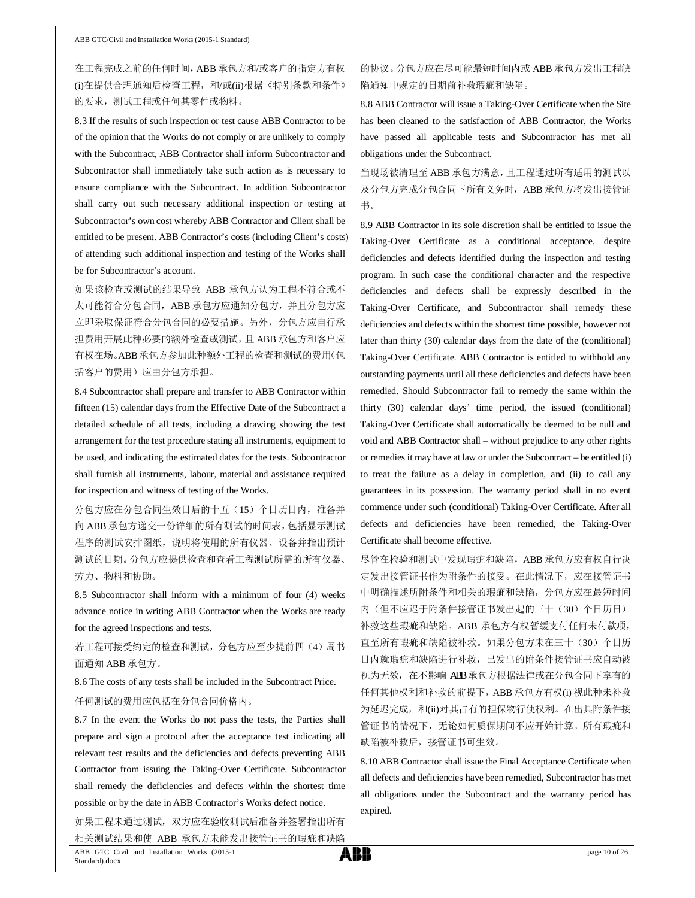在工程完成之前的任何时间,ABB 承包方和/或客户的指定方有权 (i)在提供合理通知后检查工程,和/或(ii)根据《特别条款和条件》 的要求,测试工程或任何其零件或物料。

8.3 If the results of such inspection or test cause ABB Contractor to be of the opinion that the Works do not comply or are unlikely to comply with the Subcontract, ABB Contractor shall inform Subcontractor and Subcontractor shall immediately take such action as is necessary to ensure compliance with the Subcontract. In addition Subcontractor shall carry out such necessary additional inspection or testing at Subcontractor's own cost whereby ABB Contractor and Client shall be entitled to be present. ABB Contractor's costs (including Client's costs) of attending such additional inspection and testing of the Works shall be for Subcontractor's account.

如果该检查或测试的结果导致 ABB 承包方认为工程不符合或不 太可能符合分包合同, ABB 承包方应通知分包方, 并且分包方应 立即采取保证符合分包合同的必要措施。另外,分包方应自行承 担费用开展此种必要的额外检查或测试,且 ABB 承包方和客户应 有权在场。ABB承包方参加此种额外工程的检查和测试的费用(包 括客户的费用)应由分包方承担。

8.4 Subcontractor shall prepare and transfer to ABB Contractor within fifteen (15) calendar days from the Effective Date of the Subcontract a detailed schedule of all tests, including a drawing showing the test arrangement for the test procedure stating all instruments, equipment to be used, and indicating the estimated dates for the tests. Subcontractor shall furnish all instruments, labour, material and assistance required for inspection and witness of testing of the Works.

分包方应在分包合同生效日后的十五(15)个日历日内,准备并 向 ABB 承包方递交一份详细的所有测试的时间表,包括显示测试 程序的测试安排图纸,说明将使用的所有仪器、设备并指出预计 测试的日期。分包方应提供检查和查看工程测试所需的所有仪器、 劳力、物料和协助。

8.5 Subcontractor shall inform with a minimum of four (4) weeks advance notice in writing ABB Contractor when the Works are ready for the agreed inspections and tests.

若工程可接受约定的检查和测试,分包方应至少提前四(4)周书 面通知 ABB 承包方。

8.6 The costs of any tests shall be included in the Subcontract Price. 任何测试的费用应包括在分包合同价格内。

8.7 In the event the Works do not pass the tests, the Parties shall prepare and sign a protocol after the acceptance test indicating all relevant test results and the deficiencies and defects preventing ABB Contractor from issuing the Taking-Over Certificate. Subcontractor shall remedy the deficiencies and defects within the shortest time possible or by the date in ABB Contractor's Works defect notice.

如果工程未通过测试,双方应在验收测试后准备并签署指出所有 相关测试结果和使 ABB 承包方未能发出接管证书的瑕疵和缺陷

### 的协议。分包方应在尽可能最短时间内或 ABB 承包方发出工程缺 陷通知中规定的日期前补救瑕疵和缺陷。

8.8 ABB Contractor will issue a Taking-Over Certificate when the Site has been cleaned to the satisfaction of ABB Contractor, the Works have passed all applicable tests and Subcontractor has met all obligations under the Subcontract.

当现场被清理至 ABB 承包方满意,且工程通过所有适用的测试以 及分包方完成分包合同下所有义务时, ABB 承包方将发出接管证 书。

8.9 ABB Contractor in its sole discretion shall be entitled to issue the Taking-Over Certificate as a conditional acceptance, despite deficiencies and defects identified during the inspection and testing program. In such case the conditional character and the respective deficiencies and defects shall be expressly described in the Taking-Over Certificate, and Subcontractor shall remedy these deficiencies and defects within the shortest time possible, however not later than thirty (30) calendar days from the date of the (conditional) Taking-Over Certificate. ABB Contractor is entitled to withhold any outstanding payments until all these deficiencies and defects have been remedied. Should Subcontractor fail to remedy the same within the thirty (30) calendar days' time period, the issued (conditional) Taking-Over Certificate shall automatically be deemed to be null and void and ABB Contractor shall – without prejudice to any other rights or remedies it may have at law or under the Subcontract – be entitled (i) to treat the failure as a delay in completion, and (ii) to call any guarantees in its possession. The warranty period shall in no event commence under such (conditional) Taking-Over Certificate. After all defects and deficiencies have been remedied, the Taking-Over Certificate shall become effective.

尽管在检验和测试中发现瑕疵和缺陷, ABB 承包方应有权自行决 定发出接管证书作为附条件的接受。在此情况下,应在接管证书 中明确描述所附条件和相关的瑕疵和缺陷,分包方应在最短时间 内(但不应迟于附条件接管证书发出起的三十(30)个日历日) 补救这些瑕疵和缺陷。ABB 承包方有权暂缓支付任何未付款项, 直至所有瑕疵和缺陷被补救。如果分包方未在三十(30)个日历 日内就瑕疵和缺陷进行补救,已发出的附条件接管证书应自动被 视为无效,在不影响 ABB 承包方根据法律或在分包合同下享有的 任何其他权利和补救的前提下,ABB 承包方有权(i) 视此种未补救 为延迟完成, 和(ii)对其占有的担保物行使权利。在出具附条件接 管证书的情况下,无论如何质保期间不应开始计算。所有瑕疵和 缺陷被补救后,接管证书可生效。

8.10 ABB Contractor shall issue the Final Acceptance Certificate when all defects and deficiencies have been remedied, Subcontractor has met all obligations under the Subcontract and the warranty period has expired.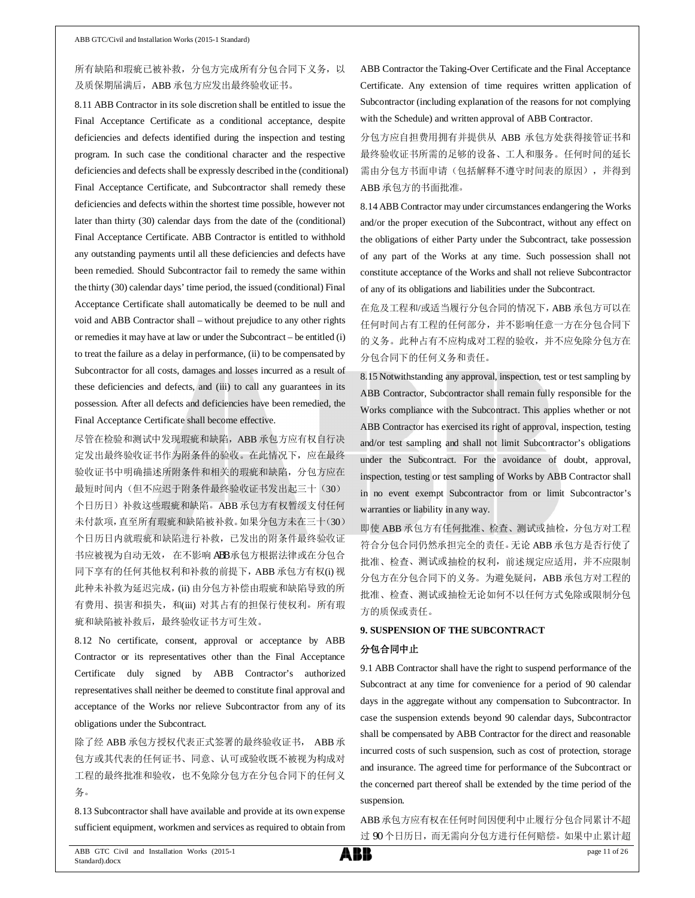# 所有缺陷和瑕疵已被补救,分包方完成所有分包合同下义务,以 及质保期届满后,ABB 承包方应发出最终验收证书。

8.11 ABB Contractor in its sole discretion shall be entitled to issue the Final Acceptance Certificate as a conditional acceptance, despite deficiencies and defects identified during the inspection and testing program. In such case the conditional character and the respective deficiencies and defects shall be expressly described in the (conditional) Final Acceptance Certificate, and Subcontractor shall remedy these deficiencies and defects within the shortest time possible, however not later than thirty (30) calendar days from the date of the (conditional) Final Acceptance Certificate. ABB Contractor is entitled to withhold any outstanding payments until all these deficiencies and defects have been remedied. Should Subcontractor fail to remedy the same within the thirty (30) calendar days' time period, the issued (conditional) Final Acceptance Certificate shall automatically be deemed to be null and void and ABB Contractor shall – without prejudice to any other rights or remedies it may have at law or under the Subcontract – be entitled (i) to treat the failure as a delay in performance, (ii) to be compensated by Subcontractor for all costs, damages and losses incurred as a result of these deficiencies and defects, and (iii) to call any guarantees in its possession. After all defects and deficiencies have been remedied, the Final Acceptance Certificate shall become effective.

尽管在检验和测试中发现瑕疵和缺陷, ABB 承包方应有权自行决 定发出最终验收证书作为附条件的验收。在此情况下,应在最终 验收证书中明确描述所附条件和相关的瑕疵和缺陷,分包方应在 最短时间内(但不应迟于附条件最终验收证书发出起三十(30) 个日历日)补救这些瑕疵和缺陷。ABB 承包方有权暂缓支付任何 未付款项,直至所有瑕疵和缺陷被补救。如果分包方未在三十(30) 个日历日内就瑕疵和缺陷进行补救,已发出的附条件最终验收证 书应被视为自动无效, 在不影响 ABB 承包方根据法律或在分包合 同下享有的任何其他权利和补救的前提下,ABB 承包方有权(i) 视 此种未补救为延迟完成,(ii) 由分包方补偿由瑕疵和缺陷导致的所 有费用、损害和损失, 和(iii) 对其占有的担保行使权利。所有瑕 疵和缺陷被补救后,最终验收证书方可生效。

8.12 No certificate, consent, approval or acceptance by ABB Contractor or its representatives other than the Final Acceptance Certificate duly signed by ABB Contractor's authorized representatives shall neither be deemed to constitute final approval and acceptance of the Works nor relieve Subcontractor from any of its obligations under the Subcontract.

除了经 ABB 承包方授权代表正式签署的最终验收证书, ABB 承 包方或其代表的任何证书、同意、认可或验收既不被视为构成对 工程的最终批准和验收,也不免除分包方在分包合同下的任何义 务。

8.13 Subcontractor shall have available and provide at its own expense sufficient equipment, workmen and services as required to obtain from

ABB Contractor the Taking-Over Certificate and the Final Acceptance Certificate. Any extension of time requires written application of Subcontractor (including explanation of the reasons for not complying with the Schedule) and written approval of ABB Contractor.

分包方应自担费用拥有并提供从 ABB 承包方处获得接管证书和 最终验收证书所需的足够的设备、工人和服务。任何时间的延长 需由分包方书面申请(包括解释不遵守时间表的原因),并得到 ABB 承包方的书面批准。

8.14 ABB Contractor may under circumstances endangering the Works and/or the proper execution of the Subcontract, without any effect on the obligations of either Party under the Subcontract, take possession of any part of the Works at any time. Such possession shall not constitute acceptance of the Works and shall not relieve Subcontractor of any of its obligations and liabilities under the Subcontract.

在危及工程和/或适当履行分包合同的情况下,ABB 承包方可以在 任何时间占有工程的任何部分,并不影响任意一方在分包合同下 的义务。此种占有不应构成对工程的验收,并不应免除分包方在 分包合同下的任何义务和责任。

8.15 Notwithstanding any approval, inspection, test or test sampling by ABB Contractor, Subcontractor shall remain fully responsible for the Works compliance with the Subcontract. This applies whether or not ABB Contractor has exercised its right of approval, inspection, testing and/or test sampling and shall not limit Subcontractor's obligations under the Subcontract. For the avoidance of doubt, approval, inspection, testing or test sampling of Works by ABB Contractor shall in no event exempt Subcontractor from or limit Subcontractor's warranties or liability in any way.

即使 ABB 承包方有任何批准、检查、测试或抽检,分包方对工程 符合分包合同仍然承担完全的责任。无论 ABB 承包方是否行使了 批准、检查、测试或抽检的权利,前述规定应适用,并不应限制 分包方在分包合同下的义务。为避免疑问, ABB 承包方对工程的 批准、检查、测试或抽检无论如何不以任何方式免除或限制分包 方的质保或责任。

### **9. SUSPENSION OF THE SUBCONTRACT**

#### 分包合同中止

9.1 ABB Contractor shall have the right to suspend performance of the Subcontract at any time for convenience for a period of 90 calendar days in the aggregate without any compensation to Subcontractor. In case the suspension extends beyond 90 calendar days, Subcontractor shall be compensated by ABB Contractor for the direct and reasonable incurred costs of such suspension, such as cost of protection, storage and insurance. The agreed time for performance of the Subcontract or the concerned part thereof shall be extended by the time period of the suspension.

ABB承包方应有权在任何时间因便利中止履行分包合同累计不超 过 90 个日历日,而无需向分包方进行任何赔偿。如果中止累计超

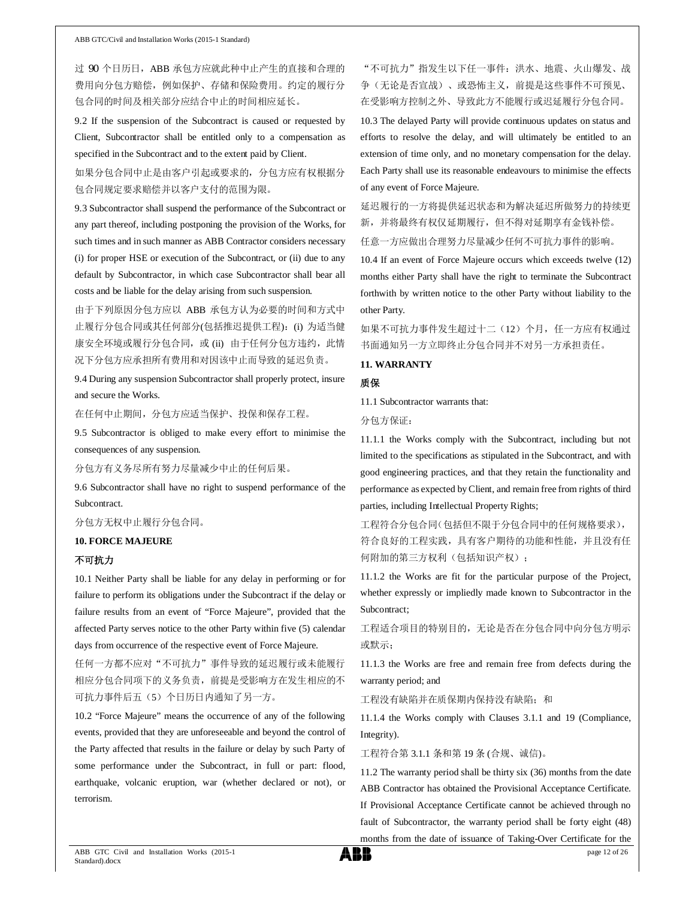过 90 个日历日, ABB 承包方应就此种中止产生的直接和合理的 费用向分包方赔偿,例如保护、存储和保险费用。约定的履行分 包合同的时间及相关部分应结合中止的时间相应延长。

9.2 If the suspension of the Subcontract is caused or requested by Client, Subcontractor shall be entitled only to a compensation as specified in the Subcontract and to the extent paid by Client.

如果分包合同中止是由客户引起或要求的,分包方应有权根据分 包合同规定要求赔偿并以客户支付的范围为限。

9.3 Subcontractor shall suspend the performance of the Subcontract or any part thereof, including postponing the provision of the Works, for such times and in such manner as ABB Contractor considers necessary (i) for proper HSE or execution of the Subcontract, or (ii) due to any default by Subcontractor, in which case Subcontractor shall bear all costs and be liable for the delay arising from such suspension.

由于下列原因分包方应以 ABB 承包方认为必要的时间和方式中 止履行分包合同或其任何部分(包括推迟提供工程): (i) 为适当健 康安全环境或履行分包合同, 或 (ii) 由于任何分包方违约, 此情 况下分包方应承担所有费用和对因该中止而导致的延迟负责。

9.4 During any suspension Subcontractor shall properly protect, insure and secure the Works.

在任何中止期间,分包方应适当保护、投保和保存工程。

9.5 Subcontractor is obliged to make every effort to minimise the consequences of any suspension.

分包方有义务尽所有努力尽量减少中止的任何后果。

9.6 Subcontractor shall have no right to suspend performance of the Subcontract.

#### 分包方无权中止履行分包合同。

#### **10. FORCE MAJEURE**

### 不可抗力

10.1 Neither Party shall be liable for any delay in performing or for failure to perform its obligations under the Subcontract if the delay or failure results from an event of "Force Majeure", provided that the affected Party serves notice to the other Party within five (5) calendar days from occurrence of the respective event of Force Majeure.

任何一方都不应对"不可抗力"事件导致的延迟履行或未能履行 相应分包合同项下的义务负责,前提是受影响方在发生相应的不 可抗力事件后五(5)个日历日内通知了另一方。

10.2 "Force Majeure" means the occurrence of any of the following events, provided that they are unforeseeable and beyond the control of the Party affected that results in the failure or delay by such Party of some performance under the Subcontract, in full or part: flood, earthquake, volcanic eruption, war (whether declared or not), or terrorism.

"不可抗力"指发生以下任一事件:洪水、地震、火山爆发、战 争(无论是否宣战)、或恐怖主义,前提是这些事件不可预见、 在受影响方控制之外、导致此方不能履行或迟延履行分包合同。

10.3 The delayed Party will provide continuous updates on status and efforts to resolve the delay, and will ultimately be entitled to an extension of time only, and no monetary compensation for the delay. Each Party shall use its reasonable endeavours to minimise the effects of any event of Force Majeure.

延迟履行的一方将提供延迟状态和为解决延迟所做努力的持续更 新,并将最终有权仅延期履行,但不得对延期享有金钱补偿。 任意一方应做出合理努力尽量减少任何不可抗力事件的影响。

10.4 If an event of Force Majeure occurs which exceeds twelve (12) months either Party shall have the right to terminate the Subcontract forthwith by written notice to the other Party without liability to the other Party.

如果不可抗力事件发生超过十二(12)个月,任一方应有权通过 书面通知另一方立即终止分包合同并不对另一方承担责任。

#### **11. WARRANTY**

#### 质保

11.1 Subcontractor warrants that:

分包方保证:

11.1.1 the Works comply with the Subcontract, including but not limited to the specifications as stipulated in the Subcontract, and with good engineering practices, and that they retain the functionality and performance as expected by Client, and remain free from rights of third parties, including Intellectual Property Rights;

工程符合分包合同(包括但不限于分包合同中的任何规格要求), 符合良好的工程实践,具有客户期待的功能和性能,并且没有任 何附加的第三方权利(包括知识产权);

11.1.2 the Works are fit for the particular purpose of the Project, whether expressly or impliedly made known to Subcontractor in the Subcontract;

工程适合项目的特别目的,无论是否在分包合同中向分包方明示 或默示;

11.1.3 the Works are free and remain free from defects during the warranty period; and

工程没有缺陷并在质保期内保持没有缺陷;和

11.1.4 the Works comply with Clauses 3.1.1 and 19 (Compliance, Integrity).

工程符合第 3.1.1 条和第 19 条 (合规、诚信)。

11.2 The warranty period shall be thirty six (36) months from the date ABB Contractor has obtained the Provisional Acceptance Certificate. If Provisional Acceptance Certificate cannot be achieved through no fault of Subcontractor, the warranty period shall be forty eight (48) months from the date of issuance of Taking-Over Certificate for the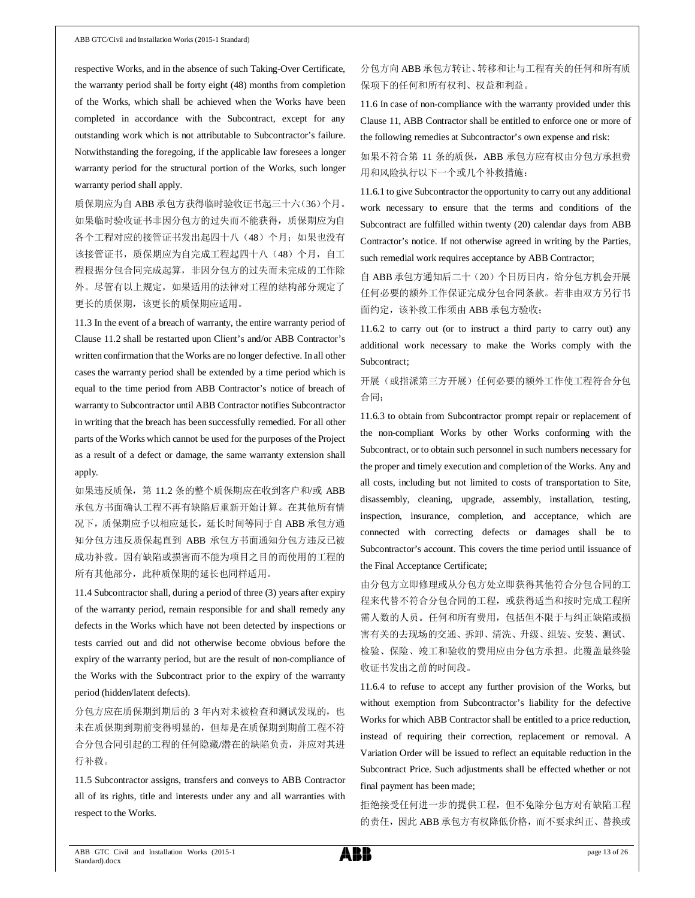respective Works, and in the absence of such Taking-Over Certificate, the warranty period shall be forty eight (48) months from completion of the Works, which shall be achieved when the Works have been completed in accordance with the Subcontract, except for any outstanding work which is not attributable to Subcontractor's failure. Notwithstanding the foregoing, if the applicable law foresees a longer warranty period for the structural portion of the Works, such longer warranty period shall apply.

质保期应为自 ABB 承包方获得临时验收证书起三十六(36)个月。 如果临时验收证书非因分包方的过失而不能获得,质保期应为自 各个工程对应的接管证书发出起四十八(48)个月;如果也没有 该接管证书, 质保期应为自完成工程起四十八(48)个月, 自工 程根据分包合同完成起算,非因分包方的过失而未完成的工作除 外。尽管有以上规定,如果适用的法律对工程的结构部分规定了 更长的质保期,该更长的质保期应适用。

11.3 In the event of a breach of warranty, the entire warranty period of Clause 11.2 shall be restarted upon Client's and/or ABB Contractor's written confirmation that the Works are no longer defective. In all other cases the warranty period shall be extended by a time period which is equal to the time period from ABB Contractor's notice of breach of warranty to Subcontractor until ABB Contractor notifies Subcontractor in writing that the breach has been successfully remedied. For all other parts of the Works which cannot be used for the purposes of the Project as a result of a defect or damage, the same warranty extension shall apply.

如果违反质保,第 11.2 条的整个质保期应在收到客户和/或 ABB 承包方书面确认工程不再有缺陷后重新开始计算。在其他所有情 况下, 质保期应予以相应延长, 延长时间等同于自 ABB 承包方通 知分包方违反质保起直到 ABB 承包方书面通知分包方违反已被 成功补救。因有缺陷或损害而不能为项目之目的而使用的工程的 所有其他部分,此种质保期的延长也同样适用。

11.4 Subcontractor shall, during a period of three (3) years after expiry of the warranty period, remain responsible for and shall remedy any defects in the Works which have not been detected by inspections or tests carried out and did not otherwise become obvious before the expiry of the warranty period, but are the result of non-compliance of the Works with the Subcontract prior to the expiry of the warranty period (hidden/latent defects).

分包方应在质保期到期后的 3 年内对未被检查和测试发现的,也 未在质保期到期前变得明显的,但却是在质保期到期前工程不符 合分包合同引起的工程的任何隐藏/潜在的缺陷负责,并应对其进 行补救。

11.5 Subcontractor assigns, transfers and conveys to ABB Contractor all of its rights, title and interests under any and all warranties with respect to the Works.

分包方向 ABB 承包方转让、转移和让与工程有关的任何和所有质 保项下的任何和所有权利、权益和利益。

11.6 In case of non-compliance with the warranty provided under this Clause 11, ABB Contractor shall be entitled to enforce one or more of the following remedies at Subcontractor's own expense and risk:

如果不符合第 11 条的质保, ABB 承包方应有权由分包方承担费 用和风险执行以下一个或几个补救措施:

11.6.1 to give Subcontractor the opportunity to carry out any additional work necessary to ensure that the terms and conditions of the Subcontract are fulfilled within twenty (20) calendar days from ABB Contractor's notice. If not otherwise agreed in writing by the Parties, such remedial work requires acceptance by ABB Contractor;

自 ABB 承包方通知后二十(20)个日历日内,给分包方机会开展 任何必要的额外工作保证完成分包合同条款。若非由双方另行书 面约定,该补救工作须由 ABB 承包方验收;

11.6.2 to carry out (or to instruct a third party to carry out) any additional work necessary to make the Works comply with the Subcontract;

开展(或指派第三方开展)任何必要的额外工作使工程符合分包 合同;

11.6.3 to obtain from Subcontractor prompt repair or replacement of the non-compliant Works by other Works conforming with the Subcontract, or to obtain such personnel in such numbers necessary for the proper and timely execution and completion of the Works. Any and all costs, including but not limited to costs of transportation to Site, disassembly, cleaning, upgrade, assembly, installation, testing, inspection, insurance, completion, and acceptance, which are connected with correcting defects or damages shall be to Subcontractor's account. This covers the time period until issuance of the Final Acceptance Certificate;

由分包方立即修理或从分包方处立即获得其他符合分包合同的工 程来代替不符合分包合同的工程,或获得适当和按时完成工程所 需人数的人员。任何和所有费用,包括但不限于与纠正缺陷或损 害有关的去现场的交通、拆卸、清洗、升级、组装、安装、测试、 检验、保险、竣工和验收的费用应由分包方承担。此覆盖最终验 收证书发出之前的时间段。

11.6.4 to refuse to accept any further provision of the Works, but without exemption from Subcontractor's liability for the defective Works for which ABB Contractor shall be entitled to a price reduction, instead of requiring their correction, replacement or removal. A Variation Order will be issued to reflect an equitable reduction in the Subcontract Price. Such adjustments shall be effected whether or not final payment has been made;

拒绝接受任何进一步的提供工程,但不免除分包方对有缺陷工程 的责任,因此 ABB 承包方有权降低价格,而不要求纠正、替换或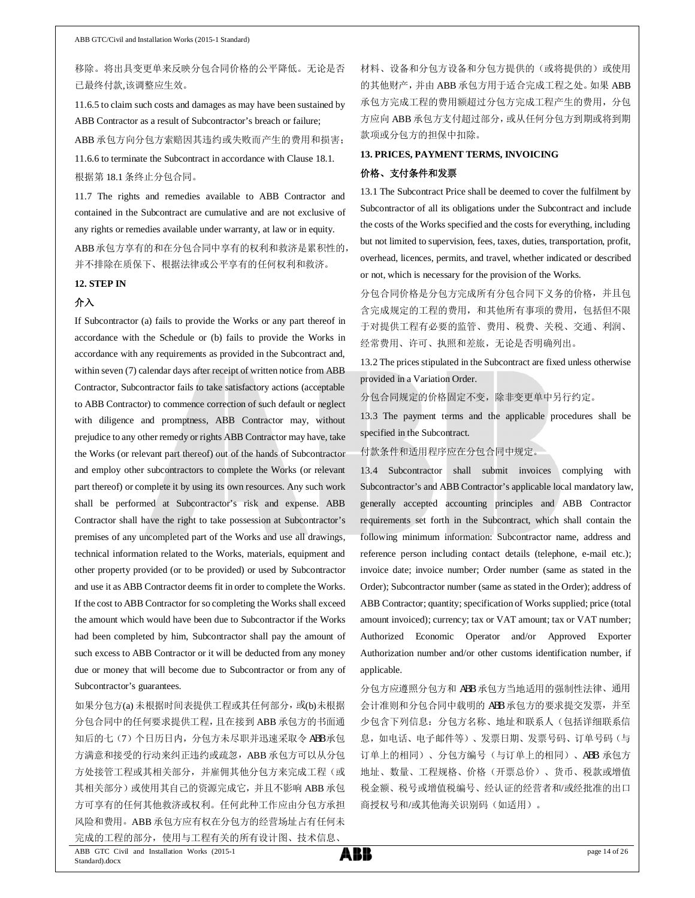移除。将出具变更单来反映分包合同价格的公平降低。无论是否 已最终付款,该调整应生效。

11.6.5 to claim such costs and damages as may have been sustained by ABB Contractor as a result of Subcontractor's breach or failure;

ABB 承包方向分包方索赔因其违约或失败而产生的费用和损害; 11.6.6 to terminate the Subcontract in accordance with Clause 18.1. 根据第 18.1 条终止分包合同。

11.7 The rights and remedies available to ABB Contractor and contained in the Subcontract are cumulative and are not exclusive of any rights or remedies available under warranty, at law or in equity.

ABB承包方享有的和在分包合同中享有的权利和救济是累积性的, 并不排除在质保下、根据法律或公平享有的任何权利和救济。

#### **12. STEP IN**

#### 介入

If Subcontractor (a) fails to provide the Works or any part thereof in accordance with the Schedule or (b) fails to provide the Works in accordance with any requirements as provided in the Subcontract and, within seven (7) calendar days after receipt of written notice from ABB Contractor, Subcontractor fails to take satisfactory actions (acceptable to ABB Contractor) to commence correction of such default or neglect with diligence and promptness, ABB Contractor may, without prejudice to any other remedy or rights ABB Contractor may have, take the Works (or relevant part thereof) out of the hands of Subcontractor and employ other subcontractors to complete the Works (or relevant part thereof) or complete it by using its own resources. Any such work shall be performed at Subcontractor's risk and expense. ABB Contractor shall have the right to take possession at Subcontractor's premises of any uncompleted part of the Works and use all drawings, technical information related to the Works, materials, equipment and other property provided (or to be provided) or used by Subcontractor and use it as ABB Contractor deems fit in order to complete the Works. If the cost to ABB Contractor for so completing the Works shall exceed the amount which would have been due to Subcontractor if the Works had been completed by him, Subcontractor shall pay the amount of such excess to ABB Contractor or it will be deducted from any money due or money that will become due to Subcontractor or from any of Subcontractor's guarantees.

如果分包方(a) 未根据时间表提供工程或其任何部分,或(b)未根据 分包合同中的任何要求提供工程,且在接到 ABB 承包方的书面通 知后的七(7)个日历日内,分包方未尽职并迅速采取令 ABB 承包 方满意和接受的行动来纠正违约或疏忽,ABB 承包方可以从分包 方处接管工程或其相关部分,并雇佣其他分包方来完成工程(或 其相关部分)或使用其自己的资源完成它,并且不影响 ABB 承包 方可享有的任何其他救济或权利。任何此种工作应由分包方承担 风险和费用。ABB 承包方应有权在分包方的经营场址占有任何未 完成的工程的部分,使用与工程有关的所有设计图、技术信息、

材料、设备和分包方设备和分包方提供的(或将提供的)或使用 的其他财产,并由 ABB 承包方用于适合完成工程之处。如果 ABB 承包方完成工程的费用额超过分包方完成工程产生的费用,分包 方应向 ABB 承包方支付超过部分,或从任何分包方到期或将到期 款项或分包方的担保中扣除。

# **13. PRICES, PAYMENT TERMS, INVOICING**

# 价格、支付条件和发票

13.1 The Subcontract Price shall be deemed to cover the fulfilment by Subcontractor of all its obligations under the Subcontract and include the costs of the Works specified and the costs for everything, including but not limited to supervision, fees, taxes, duties, transportation, profit, overhead, licences, permits, and travel, whether indicated or described or not, which is necessary for the provision of the Works.

分包合同价格是分包方完成所有分包合同下义务的价格,并且包 含完成规定的工程的费用,和其他所有事项的费用,包括但不限 于对提供工程有必要的监管、费用、税费、关税、交通、利润、 经常费用、许可、执照和差旅,无论是否明确列出。

13.2 The prices stipulated in the Subcontract are fixed unless otherwise provided in a Variation Order.

分包合同规定的价格固定不变,除非变更单中另行约定。

13.3 The payment terms and the applicable procedures shall be specified in the Subcontract.

#### 付款条件和适用程序应在分包合同中规定。

13.4 Subcontractor shall submit invoices complying with Subcontractor's and ABB Contractor's applicable local mandatory law, generally accepted accounting principles and ABB Contractor requirements set forth in the Subcontract, which shall contain the following minimum information: Subcontractor name, address and reference person including contact details (telephone, e-mail etc.); invoice date; invoice number; Order number (same as stated in the Order); Subcontractor number (same as stated in the Order); address of ABB Contractor; quantity; specification of Works supplied; price (total amount invoiced); currency; tax or VAT amount; tax or VAT number; Authorized Economic Operator and/or Approved Exporter Authorization number and/or other customs identification number, if applicable.

分包方应遵照分包方和 ABB 承包方当地适用的强制性法律、通用 会计准则和分包合同中载明的 ABB 承包方的要求提交发票,并至 少包含下列信息:分包方名称、地址和联系人(包括详细联系信 息,如电话、电子邮件等)、发票日期、发票号码、订单号码(与 订单上的相同)、分包方编号(与订单上的相同)、ABB 承包方 地址、数量、工程规格、价格(开票总价)、货币、税款或增值 税金额、税号或增值税编号、经认证的经营者和/或经批准的出口 商授权号和/或其他海关识别码(如适用)。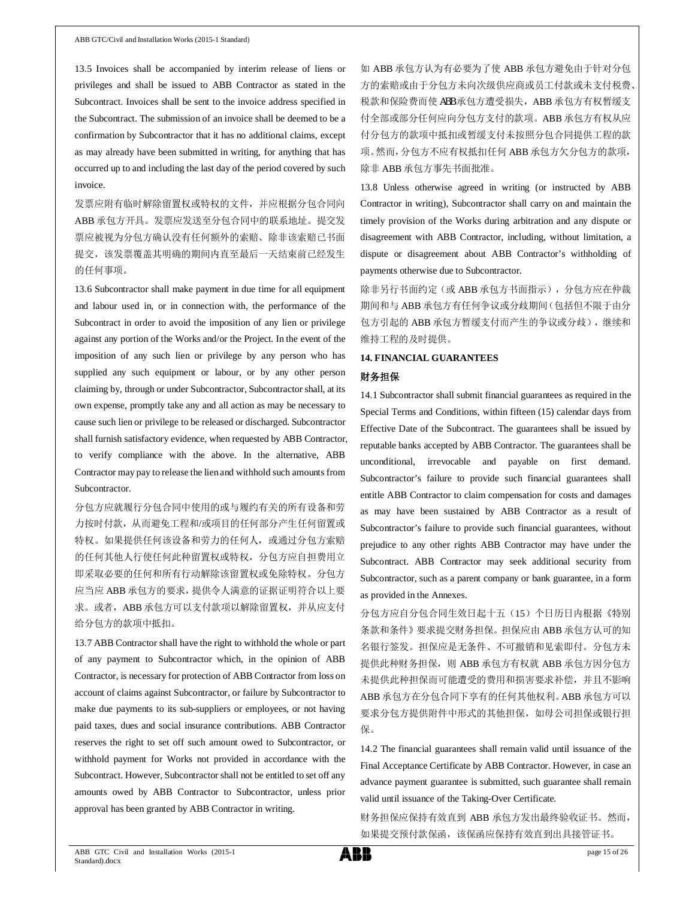13.5 Invoices shall be accompanied by interim release of liens or privileges and shall be issued to ABB Contractor as stated in the Subcontract. Invoices shall be sent to the invoice address specified in the Subcontract. The submission of an invoice shall be deemed to be a confirmation by Subcontractor that it has no additional claims, except as may already have been submitted in writing, for anything that has occurred up to and including the last day of the period covered by such invoice.

发票应附有临时解除留置权或特权的文件,并应根据分包合同向 ABB 承包方开具。发票应发送至分包合同中的联系地址。提交发 票应被视为分包方确认没有任何额外的索赔、除非该索赔已书面 提交,该发票覆盖其明确的期间内直至最后一天结束前已经发生 的任何事项。

13.6 Subcontractor shall make payment in due time for all equipment and labour used in, or in connection with, the performance of the Subcontract in order to avoid the imposition of any lien or privilege against any portion of the Works and/or the Project. In the event of the imposition of any such lien or privilege by any person who has supplied any such equipment or labour, or by any other person claiming by, through or under Subcontractor, Subcontractor shall, at its own expense, promptly take any and all action as may be necessary to cause such lien or privilege to be released or discharged. Subcontractor shall furnish satisfactory evidence, when requested by ABB Contractor, to verify compliance with the above. In the alternative, ABB Contractor may pay to release the lien and withhold such amounts from Subcontractor.

分包方应就履行分包合同中使用的或与履约有关的所有设备和劳 力按时付款,从而避免工程和/或项目的任何部分产生任何留置或 特权。如果提供任何该设备和劳力的任何人,或通过分包方索赔 的任何其他人行使任何此种留置权或特权,分包方应自担费用立 即采取必要的任何和所有行动解除该留置权或免除特权。分包方 应当应 ABB 承包方的要求,提供令人满意的证据证明符合以上要 求。或者, ABB 承包方可以支付款项以解除留置权, 并从应支付 给分包方的款项中抵扣。

13.7 ABB Contractor shall have the right to withhold the whole or part of any payment to Subcontractor which, in the opinion of ABB Contractor, is necessary for protection of ABB Contractor from loss on account of claims against Subcontractor, or failure by Subcontractor to make due payments to its sub-suppliers or employees, or not having paid taxes, dues and social insurance contributions. ABB Contractor reserves the right to set off such amount owed to Subcontractor, or withhold payment for Works not provided in accordance with the Subcontract. However, Subcontractor shall not be entitled to set off any amounts owed by ABB Contractor to Subcontractor, unless prior approval has been granted by ABB Contractor in writing.

如 ABB 承包方认为有必要为了使 ABB 承包方避免由于针对分包 方的索赔或由于分包方未向次级供应商或员工付款或未支付税费、 税款和保险费而使 ABB 承包方遭受损失,ABB 承包方有权暂缓支 付全部或部分任何应向分包方支付的款项。ABB 承包方有权从应 付分包方的款项中抵扣或暂缓支付未按照分包合同提供工程的款 项。然而,分包方不应有权抵扣任何 ABB 承包方欠分包方的款项, 除非 ABB 承包方事先书面批准。

13.8 Unless otherwise agreed in writing (or instructed by ABB Contractor in writing), Subcontractor shall carry on and maintain the timely provision of the Works during arbitration and any dispute or disagreement with ABB Contractor, including, without limitation, a dispute or disagreement about ABB Contractor's withholding of payments otherwise due to Subcontractor.

除非另行书面约定(或 ABB 承包方书面指示),分包方应在仲裁 期间和与 ABB 承包方有任何争议或分歧期间(包括但不限于由分 包方引起的 ABB 承包方暂缓支付而产生的争议或分歧),继续和 维持工程的及时提供。

#### **14. FINANCIAL GUARANTEES**

#### 财务担保

14.1 Subcontractor shall submit financial guarantees as required in the Special Terms and Conditions, within fifteen (15) calendar days from Effective Date of the Subcontract. The guarantees shall be issued by reputable banks accepted by ABB Contractor. The guarantees shall be unconditional, irrevocable and payable on first demand. Subcontractor's failure to provide such financial guarantees shall entitle ABB Contractor to claim compensation for costs and damages as may have been sustained by ABB Contractor as a result of Subcontractor's failure to provide such financial guarantees, without prejudice to any other rights ABB Contractor may have under the Subcontract. ABB Contractor may seek additional security from Subcontractor, such as a parent company or bank guarantee, in a form as provided in the Annexes.

分包方应自分包合同生效日起十五(15)个日历日内根据《特别 条款和条件》要求提交财务担保。担保应由 ABB 承包方认可的知 名银行签发。担保应是无条件、不可撤销和见索即付。分包方未 提供此种财务担保, 则 ABB 承包方有权就 ABB 承包方因分包方 未提供此种担保而可能遭受的费用和损害要求补偿,并且不影响 ABB 承包方在分包合同下享有的任何其他权利。ABB 承包方可以 要求分包方提供附件中形式的其他担保,如母公司担保或银行担 保。

14.2 The financial guarantees shall remain valid until issuance of the Final Acceptance Certificate by ABB Contractor. However, in case an advance payment guarantee is submitted, such guarantee shall remain valid until issuance of the Taking-Over Certificate.

财务担保应保持有效直到 ABB 承包方发出最终验收证书。然而, 如果提交预付款保函,该保函应保持有效直到出具接管证书。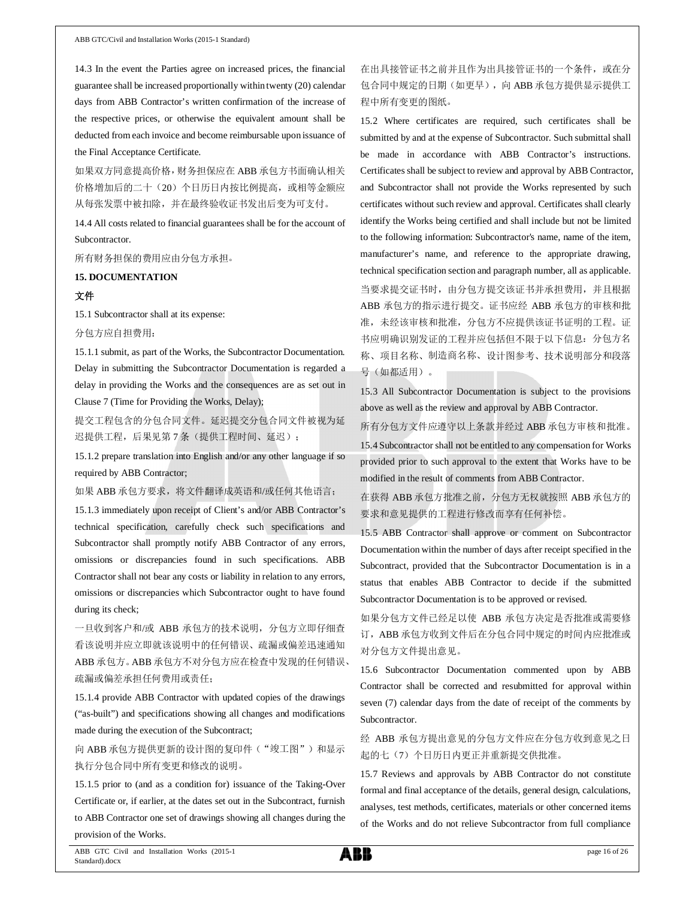14.3 In the event the Parties agree on increased prices, the financial guarantee shall be increased proportionally within twenty (20) calendar days from ABB Contractor's written confirmation of the increase of the respective prices, or otherwise the equivalent amount shall be deducted from each invoice and become reimbursable upon issuance of the Final Acceptance Certificate.

如果双方同意提高价格,财务担保应在 ABB 承包方书面确认相关 价格增加后的二十(20)个日历日内按比例提高,或相等金额应 从每张发票中被扣除,并在最终验收证书发出后变为可支付。

14.4 All costs related to financial guarantees shall be for the account of Subcontractor.

所有财务担保的费用应由分包方承担。

### **15. DOCUMENTATION**

### 文件

15.1 Subcontractor shall at its expense:

分包方应自担费用:

15.1.1 submit, as part of the Works, the Subcontractor Documentation. Delay in submitting the Subcontractor Documentation is regarded a delay in providing the Works and the consequences are as set out in Clause 7 (Time for Providing the Works, Delay);

提交工程包含的分包合同文件。延迟提交分包合同文件被视为延 迟提供工程,后果见第7条(提供工程时间、延迟);

15.1.2 prepare translation into English and/or any other language if so required by ABB Contractor;

如果 ABB 承包方要求,将文件翻译成英语和/或任何其他语言;

15.1.3 immediately upon receipt of Client's and/or ABB Contractor's technical specification, carefully check such specifications and Subcontractor shall promptly notify ABB Contractor of any errors, omissions or discrepancies found in such specifications. ABB Contractor shall not bear any costs or liability in relation to any errors, omissions or discrepancies which Subcontractor ought to have found during its check;

一旦收到客户和/或 ABB 承包方的技术说明,分包方立即仔细查 看该说明并应立即就该说明中的任何错误、疏漏或偏差迅速通知 ABB 承包方。ABB 承包方不对分包方应在检查中发现的任何错误、 疏漏或偏差承担任何费用或责任;

15.1.4 provide ABB Contractor with updated copies of the drawings ("as-built") and specifications showing all changes and modifications made during the execution of the Subcontract;

向 ABB 承包方提供更新的设计图的复印件("竣工图")和显示 执行分包合同中所有变更和修改的说明。

15.1.5 prior to (and as a condition for) issuance of the Taking-Over Certificate or, if earlier, at the dates set out in the Subcontract, furnish to ABB Contractor one set of drawings showing all changes during the provision of the Works.

在出具接管证书之前并且作为出具接管证书的一个条件, 或在分 包合同中规定的日期(如更早),向 ABB 承包方提供显示提供工 程中所有变更的图纸。

15.2 Where certificates are required, such certificates shall be submitted by and at the expense of Subcontractor. Such submittal shall be made in accordance with ABB Contractor's instructions. Certificates shall be subject to review and approval by ABB Contractor, and Subcontractor shall not provide the Works represented by such certificates without such review and approval. Certificates shall clearly identify the Works being certified and shall include but not be limited to the following information: Subcontractor's name, name of the item, manufacturer's name, and reference to the appropriate drawing, technical specification section and paragraph number, all as applicable. 当要求提交证书时,由分包方提交该证书并承担费用,并且根据 ABB 承包方的指示进行提交。证书应经 ABB 承包方的审核和批 准,未经该审核和批准,分包方不应提供该证书证明的工程。证 书应明确识别发证的工程并应包括但不限于以下信息:分包方名 称、项目名称、制造商名称、设计图参考、技术说明部分和段落 号(如都适用)。

15.3 All Subcontractor Documentation is subject to the provisions above as well as the review and approval by ABB Contractor.

所有分包方文件应遵守以上条款并经过 ABB 承包方审核和批准。

15.4 Subcontractor shall not be entitled to any compensation for Works provided prior to such approval to the extent that Works have to be modified in the result of comments from ABB Contractor.

在获得 ABB 承包方批准之前,分包方无权就按照 ABB 承包方的 要求和意见提供的工程进行修改而享有任何补偿。

15.5 ABB Contractor shall approve or comment on Subcontractor Documentation within the number of days after receipt specified in the Subcontract, provided that the Subcontractor Documentation is in a status that enables ABB Contractor to decide if the submitted Subcontractor Documentation is to be approved or revised.

如果分包方文件已经足以使 ABB 承包方决定是否批准或需要修 订,ABB 承包方收到文件后在分包合同中规定的时间内应批准或 对分包方文件提出意见。

15.6 Subcontractor Documentation commented upon by ABB Contractor shall be corrected and resubmitted for approval within seven (7) calendar days from the date of receipt of the comments by Subcontractor.

经 ABB 承包方提出意见的分包方文件应在分包方收到意见之日 起的七(7)个日历日内更正并重新提交供批准。

15.7 Reviews and approvals by ABB Contractor do not constitute formal and final acceptance of the details, general design, calculations, analyses, test methods, certificates, materials or other concerned items of the Works and do not relieve Subcontractor from full compliance

ABB GTC Civil and Installation Works (2015-1 Standard).docx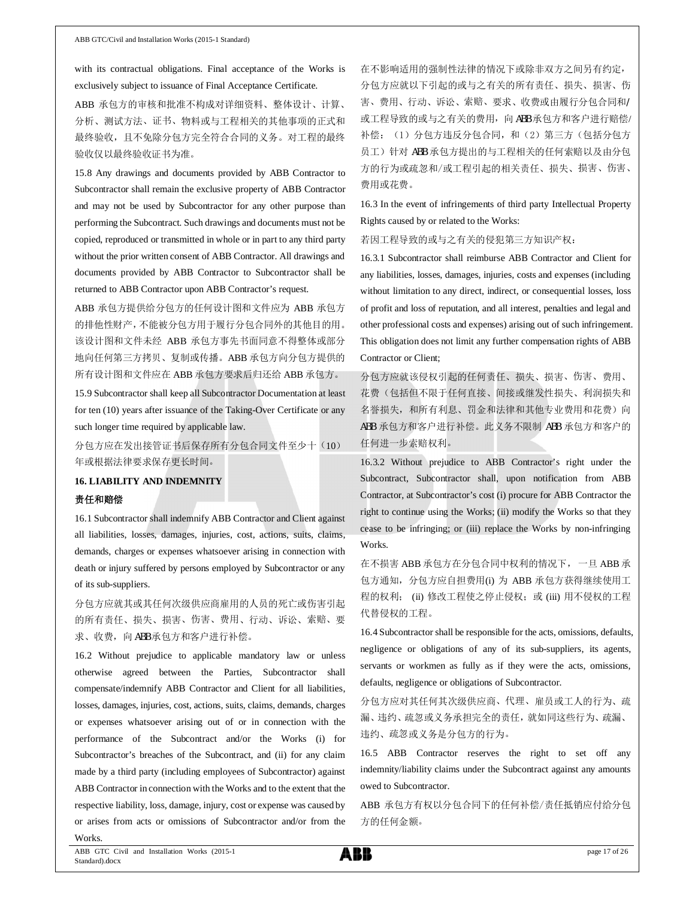with its contractual obligations. Final acceptance of the Works is exclusively subject to issuance of Final Acceptance Certificate.

ABB 承包方的审核和批准不构成对详细资料、整体设计、计算、 分析、测试方法、证书、物料或与工程相关的其他事项的正式和 最终验收,且不免除分包方完全符合合同的义务。对工程的最终 验收仅以最终验收证书为准。

15.8 Any drawings and documents provided by ABB Contractor to Subcontractor shall remain the exclusive property of ABB Contractor and may not be used by Subcontractor for any other purpose than performing the Subcontract. Such drawings and documents must not be copied, reproduced or transmitted in whole or in part to any third party without the prior written consent of ABB Contractor. All drawings and documents provided by ABB Contractor to Subcontractor shall be returned to ABB Contractor upon ABB Contractor's request.

ABB 承包方提供给分包方的任何设计图和文件应为 ABB 承包方 的排他性财产,不能被分包方用于履行分包合同外的其他目的用。 该设计图和文件未经 ABB 承包方事先书面同意不得整体或部分 地向任何第三方拷贝、复制或传播。ABB 承包方向分包方提供的 所有设计图和文件应在 ABB 承包方要求后归还给 ABB 承包方。

15.9 Subcontractor shall keep all Subcontractor Documentation at least for ten (10) years after issuance of the Taking-Over Certificate or any such longer time required by applicable law.

分包方应在发出接管证书后保存所有分包合同文件至少十(10) 年或根据法律要求保存更长时间。

# **16. LIABILITY AND INDEMNITY** 责任和赔偿

16.1 Subcontractor shall indemnify ABB Contractor and Client against all liabilities, losses, damages, injuries, cost, actions, suits, claims, demands, charges or expenses whatsoever arising in connection with death or injury suffered by persons employed by Subcontractor or any of its sub-suppliers.

分包方应就其或其任何次级供应商雇用的人员的死亡或伤害引起 的所有责任、损失、损害、伤害、费用、行动、诉讼、索赔、要 求、收费,向 ABB 承包方和客户进行补偿。

16.2 Without prejudice to applicable mandatory law or unless otherwise agreed between the Parties, Subcontractor shall compensate/indemnify ABB Contractor and Client for all liabilities, losses, damages, injuries, cost, actions, suits, claims, demands, charges or expenses whatsoever arising out of or in connection with the performance of the Subcontract and/or the Works (i) for Subcontractor's breaches of the Subcontract, and (ii) for any claim made by a third party (including employees of Subcontractor) against ABB Contractor in connection with the Works and to the extent that the respective liability, loss, damage, injury, cost or expense was caused by or arises from acts or omissions of Subcontractor and/or from the Works.

在不影响适用的强制性法律的情况下或除非双方之间另有约定, 分包方应就以下引起的或与之有关的所有责任、损失、损害、伤 害、费用、行动、诉讼、索赔、要求、收费或由履行分包合同和/ 或工程导致的或与之有关的费用, 向 ABB 承包方和客户进行赔偿/ 补偿:(1)分包方违反分包合同,和(2)第三方(包括分包方 员工)针对 ABB 承包方提出的与工程相关的任何索赔以及由分包 方的行为或疏忽和/或工程引起的相关责任、损失、损害、伤害、 费用或花费。

16.3 In the event of infringements of third party Intellectual Property Rights caused by or related to the Works:

若因工程导致的或与之有关的侵犯第三方知识产权:

16.3.1 Subcontractor shall reimburse ABB Contractor and Client for any liabilities, losses, damages, injuries, costs and expenses (including without limitation to any direct, indirect, or consequential losses, loss of profit and loss of reputation, and all interest, penalties and legal and other professional costs and expenses) arising out of such infringement. This obligation does not limit any further compensation rights of ABB Contractor or Client;

分包方应就该侵权引起的任何责任、损失、损害、伤害、费用、 花费(包括但不限于任何直接、间接或继发性损失、利润损失和 名誉损失,和所有利息、罚金和法律和其他专业费用和花费)向 ABB 承包方和客户进行补偿。此义务不限制 ABB 承包方和客户的 任何进一步索赔权利。

16.3.2 Without prejudice to ABB Contractor's right under the Subcontract, Subcontractor shall, upon notification from ABB Contractor, at Subcontractor's cost (i) procure for ABB Contractor the right to continue using the Works; (ii) modify the Works so that they cease to be infringing; or (iii) replace the Works by non-infringing Works.

在不损害 ABB 承包方在分包合同中权利的情况下,一旦 ABB 承 包方通知,分包方应自担费用(i) 为 ABB 承包方获得继续使用工 程的权利; (ii) 修改工程使之停止侵权; 或 (iii) 用不侵权的工程 代替侵权的工程。

16.4 Subcontractor shall be responsible for the acts, omissions, defaults, negligence or obligations of any of its sub-suppliers, its agents, servants or workmen as fully as if they were the acts, omissions, defaults, negligence or obligations of Subcontractor.

分包方应对其任何其次级供应商、代理、雇员或工人的行为、疏 漏、违约、疏忽或义务承担完全的责任,就如同这些行为、疏漏、 违约、疏忽或义务是分包方的行为。

16.5 ABB Contractor reserves the right to set off any indemnity/liability claims under the Subcontract against any amounts owed to Subcontractor.

ABB 承包方有权以分包合同下的任何补偿/责任抵销应付给分包 方的任何金额。

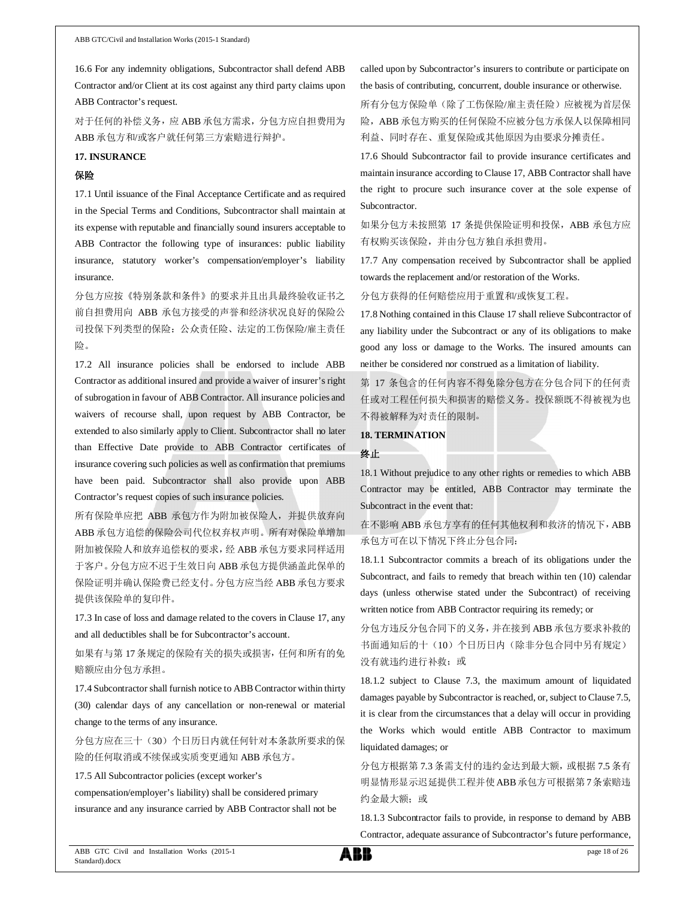16.6 For any indemnity obligations, Subcontractor shall defend ABB Contractor and/or Client at its cost against any third party claims upon ABB Contractor's request.

对于任何的补偿义务,应 ABB 承包方需求,分包方应自担费用为 ABB 承包方和/或客户就任何第三方索赔进行辩护。

### **17. INSURANCE**

### 保险

17.1 Until issuance of the Final Acceptance Certificate and as required in the Special Terms and Conditions, Subcontractor shall maintain at its expense with reputable and financially sound insurers acceptable to ABB Contractor the following type of insurances: public liability insurance, statutory worker's compensation/employer's liability insurance.

分包方应按《特别条款和条件》的要求并且出具最终验收证书之 前自担费用向 ABB 承包方接受的声誉和经济状况良好的保险公 司投保下列类型的保险:公众责任险、法定的工伤保险/雇主责任 险。

17.2 All insurance policies shall be endorsed to include ABB Contractor as additional insured and provide a waiver of insurer's right of subrogation in favour of ABB Contractor. All insurance policies and waivers of recourse shall, upon request by ABB Contractor, be extended to also similarly apply to Client. Subcontractor shall no later than Effective Date provide to ABB Contractor certificates of insurance covering such policies as well as confirmation that premiums have been paid. Subcontractor shall also provide upon ABB Contractor's request copies of such insurance policies.

所有保险单应把 ABB 承包方作为附加被保险人,并提供放弃向 ABB 承包方追偿的保险公司代位权弃权声明。所有对保险单增加 附加被保险人和放弃追偿权的要求,经 ABB 承包方要求同样适用 于客户。分包方应不迟于生效日向 ABB 承包方提供涵盖此保单的 保险证明并确认保险费已经支付。分包方应当经 ABB 承包方要求 提供该保险单的复印件。

17.3 In case of loss and damage related to the covers in Clause 17, any and all deductibles shall be for Subcontractor's account.

如果有与第 17 条规定的保险有关的损失或损害,任何和所有的免 赔额应由分包方承担。

17.4 Subcontractor shall furnish notice to ABB Contractor within thirty (30) calendar days of any cancellation or non-renewal or material change to the terms of any insurance.

分包方应在三十(30)个日历日内就任何针对本条款所要求的保 险的任何取消或不续保或实质变更通知 ABB 承包方。

17.5 All Subcontractor policies (except worker's

compensation/employer's liability) shall be considered primary insurance and any insurance carried by ABB Contractor shall not be called upon by Subcontractor's insurers to contribute or participate on the basis of contributing, concurrent, double insurance or otherwise.

所有分包方保险单(除了工伤保险/雇主责任险)应被视为首层保 险, ABB 承包方购买的任何保险不应被分包方承保人以保障相同 利益、同时存在、重复保险或其他原因为由要求分摊责任。

17.6 Should Subcontractor fail to provide insurance certificates and maintain insurance according to Clause 17, ABB Contractor shall have the right to procure such insurance cover at the sole expense of Subcontractor.

如果分包方未按照第 17 条提供保险证明和投保, ABB 承包方应 有权购买该保险,并由分包方独自承担费用。

17.7 Any compensation received by Subcontractor shall be applied towards the replacement and/or restoration of the Works.

分包方获得的任何赔偿应用于重置和/或恢复工程。

17.8 Nothing contained in this Clause 17 shall relieve Subcontractor of any liability under the Subcontract or any of its obligations to make good any loss or damage to the Works. The insured amounts can neither be considered nor construed as a limitation of liability.

第 17 条包含的任何内容不得免除分包方在分包合同下的任何责 任或对工程任何损失和损害的赔偿义务。投保额既不得被视为也 不得被解释为对责任的限制。

#### **18. TERMINATION**

#### 终止

18.1 Without prejudice to any other rights or remedies to which ABB Contractor may be entitled, ABB Contractor may terminate the Subcontract in the event that:

在不影响 ABB 承包方享有的任何其他权利和救济的情况下,ABB 承包方可在以下情况下终止分包合同:

18.1.1 Subcontractor commits a breach of its obligations under the Subcontract, and fails to remedy that breach within ten (10) calendar days (unless otherwise stated under the Subcontract) of receiving written notice from ABB Contractor requiring its remedy; or

分包方违反分包合同下的义务,并在接到 ABB 承包方要求补救的 书面通知后的十(10)个日历日内(除非分包合同中另有规定) 没有就违约进行补救;或

18.1.2 subject to Clause 7.3, the maximum amount of liquidated damages payable by Subcontractor is reached, or, subject to Clause 7.5, it is clear from the circumstances that a delay will occur in providing the Works which would entitle ABB Contractor to maximum liquidated damages; or

分包方根据第 7.3 条需支付的违约金达到最大额,或根据 7.5 条有 明显情形显示迟延提供工程并使ABB承包方可根据第7条索赔违 约金最大额;或

18.1.3 Subcontractor fails to provide, in response to demand by ABB Contractor, adequate assurance of Subcontractor's future performance,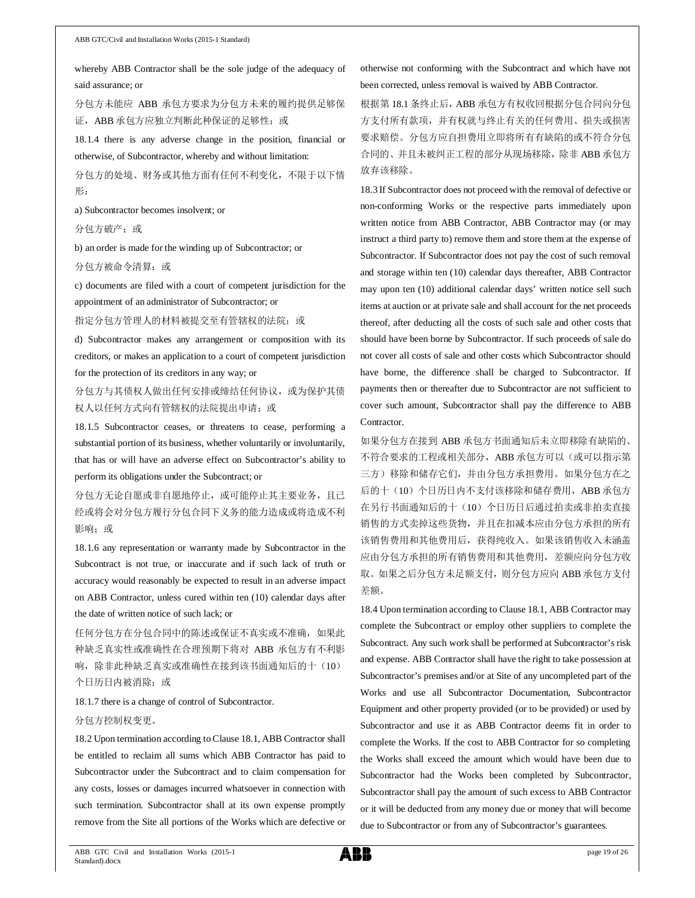whereby ABB Contractor shall be the sole judge of the adequacy of said assurance; or

分包方未能应 ABB 承包方要求为分包方未来的履约提供足够保 证, ABB 承包方应独立判断此种保证的足够性;或

18.1.4 there is any adverse change in the position, financial or otherwise, of Subcontractor, whereby and without limitation:

分包方的处境、财务或其他方面有任何不利变化,不限于以下情 形:

a) Subcontractor becomes insolvent; or

分包方破产;或

b) an order is made for the winding up of Subcontractor; or

分包方被命令清算;或

c) documents are filed with a court of competent jurisdiction for the appointment of an administrator of Subcontractor; or

指定分包方管理人的材料被提交至有管辖权的法院;或

d) Subcontractor makes any arrangement or composition with its creditors, or makes an application to a court of competent jurisdiction for the protection of its creditors in any way; or

分包方与其债权人做出任何安排或缔结任何协议,或为保护其债 权人以任何方式向有管辖权的法院提出申请;或

18.1.5 Subcontractor ceases, or threatens to cease, performing a substantial portion of its business, whether voluntarily or involuntarily, that has or will have an adverse effect on Subcontractor's ability to perform its obligations under the Subcontract; or

分包方无论自愿或非自愿地停止,或可能停止其主要业务,且已 经或将会对分包方履行分包合同下义务的能力造成或将造成不利 影响;或

18.1.6 any representation or warranty made by Subcontractor in the Subcontract is not true, or inaccurate and if such lack of truth or accuracy would reasonably be expected to result in an adverse impact on ABB Contractor, unless cured within ten (10) calendar days after the date of written notice of such lack; or

任何分包方在分包合同中的陈述或保证不真实或不准确,如果此 种缺乏真实性或准确性在合理预期下将对 ABB 承包方有不利影 响,除非此种缺乏真实或准确性在接到该书面通知后的十(10) 个日历日内被消除;或

18.1.7 there is a change of control of Subcontractor.

#### 分包方控制权变更。

18.2 Upon termination according to Clause 18.1, ABB Contractor shall be entitled to reclaim all sums which ABB Contractor has paid to Subcontractor under the Subcontract and to claim compensation for any costs, losses or damages incurred whatsoever in connection with such termination. Subcontractor shall at its own expense promptly remove from the Site all portions of the Works which are defective or otherwise not conforming with the Subcontract and which have not been corrected, unless removal is waived by ABB Contractor.

根据第 18.1 条终止后, ABB 承包方有权收回根据分包合同向分包 方支付所有款项,并有权就与终止有关的任何费用、损失或损害 要求赔偿。分包方应自担费用立即将所有有缺陷的或不符合分包 合同的、并且未被纠正工程的部分从现场移除,除非 ABB 承包方 放弃该移除。

18.3 If Subcontractor does not proceed with the removal of defective or non-conforming Works or the respective parts immediately upon written notice from ABB Contractor, ABB Contractor may (or may instruct a third party to) remove them and store them at the expense of Subcontractor. If Subcontractor does not pay the cost of such removal and storage within ten (10) calendar days thereafter, ABB Contractor may upon ten (10) additional calendar days' written notice sell such items at auction or at private sale and shall account for the net proceeds thereof, after deducting all the costs of such sale and other costs that should have been borne by Subcontractor. If such proceeds of sale do not cover all costs of sale and other costs which Subcontractor should have borne, the difference shall be charged to Subcontractor. If payments then or thereafter due to Subcontractor are not sufficient to cover such amount, Subcontractor shall pay the difference to ABB Contractor.

如果分包方在接到 ABB 承包方书面通知后未立即移除有缺陷的、 不符合要求的工程或相关部分, ABB 承包方可以(或可以指示第 三方)移除和储存它们,并由分包方承担费用。如果分包方在之 后的十(10)个日历日内不支付该移除和储存费用, ABB 承包方 在另行书面通知后的十(10)个日历日后通过拍卖或非拍卖直接 销售的方式卖掉这些货物,并且在扣减本应由分包方承担的所有 该销售费用和其他费用后,获得纯收入。如果该销售收入未涵盖 应由分包方承担的所有销售费用和其他费用,差额应向分包方收 取。如果之后分包方未足额支付, 则分包方应向 ABB 承包方支付 差额。

18.4 Upon termination according to Clause 18.1, ABB Contractor may complete the Subcontract or employ other suppliers to complete the Subcontract. Any such work shall be performed at Subcontractor's risk and expense. ABB Contractor shall have the right to take possession at Subcontractor's premises and/or at Site of any uncompleted part of the Works and use all Subcontractor Documentation, Subcontractor Equipment and other property provided (or to be provided) or used by Subcontractor and use it as ABB Contractor deems fit in order to complete the Works. If the cost to ABB Contractor for so completing the Works shall exceed the amount which would have been due to Subcontractor had the Works been completed by Subcontractor, Subcontractor shall pay the amount of such excess to ABB Contractor or it will be deducted from any money due or money that will become due to Subcontractor or from any of Subcontractor's guarantees.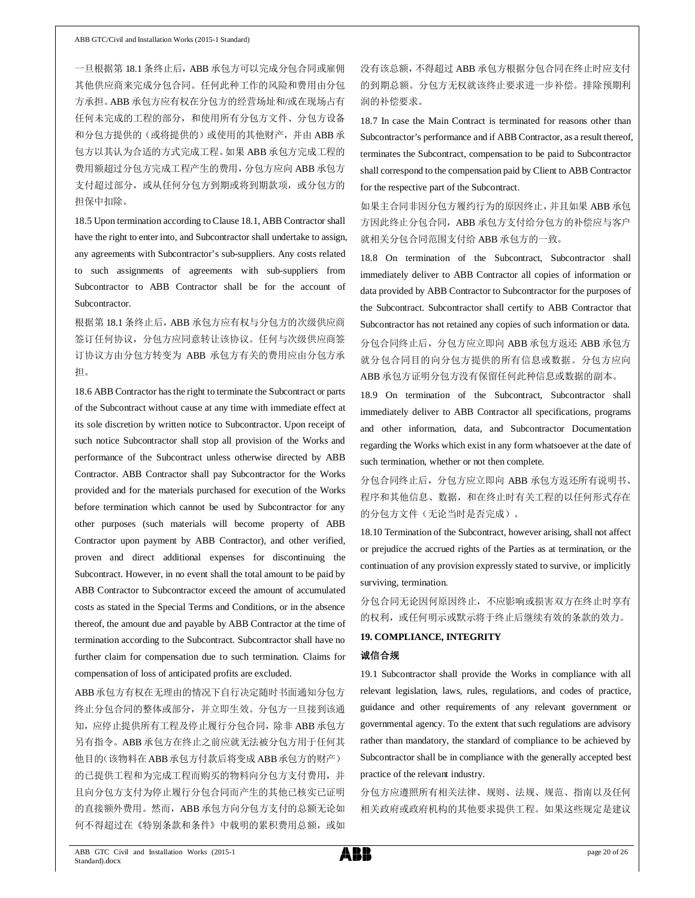一旦根据第 18.1 条终止后, ABB 承包方可以完成分包合同或雇佣 其他供应商来完成分包合同。任何此种工作的风险和费用由分包 方承担。ABB 承包方应有权在分包方的经营场址和/或在现场占有 任何未完成的工程的部分,和使用所有分包方文件、分包方设备 和分包方提供的(或将提供的)或使用的其他财产,并由 ABB 承 包方以其认为合适的方式完成工程。如果 ABB 承包方完成工程的 费用额超过分包方完成工程产生的费用,分包方应向 ABB 承包方 支付超过部分, 或从任何分包方到期或将到期款项, 或分包方的 担保中扣除。

18.5 Upon termination according to Clause 18.1, ABB Contractor shall have the right to enter into, and Subcontractor shall undertake to assign, any agreements with Subcontractor's sub-suppliers. Any costs related to such assignments of agreements with sub-suppliers from Subcontractor to ABB Contractor shall be for the account of Subcontractor.

根据第 18.1 条终止后, ABB 承包方应有权与分包方的次级供应商 签订任何协议,分包方应同意转让该协议。任何与次级供应商签 订协议方由分包方转变为 ABB 承包方有关的费用应由分包方承 担。

18.6 ABB Contractor has the right to terminate the Subcontract or parts of the Subcontract without cause at any time with immediate effect at its sole discretion by written notice to Subcontractor. Upon receipt of such notice Subcontractor shall stop all provision of the Works and performance of the Subcontract unless otherwise directed by ABB Contractor. ABB Contractor shall pay Subcontractor for the Works provided and for the materials purchased for execution of the Works before termination which cannot be used by Subcontractor for any other purposes (such materials will become property of ABB Contractor upon payment by ABB Contractor), and other verified, proven and direct additional expenses for discontinuing the Subcontract. However, in no event shall the total amount to be paid by ABB Contractor to Subcontractor exceed the amount of accumulated costs as stated in the Special Terms and Conditions, or in the absence thereof, the amount due and payable by ABB Contractor at the time of termination according to the Subcontract. Subcontractor shall have no further claim for compensation due to such termination. Claims for compensation of loss of anticipated profits are excluded.

ABB承包方有权在无理由的情况下自行决定随时书面通知分包方 终止分包合同的整体或部分,并立即生效。分包方一旦接到该通 知,应停止提供所有工程及停止履行分包合同,除非 ABB 承包方 另有指令。ABB 承包方在终止之前应就无法被分包方用于任何其 他目的(该物料在ABB承包方付款后将变成ABB承包方的财产) 的已提供工程和为完成工程而购买的物料向分包方支付费用,并 且向分包方支付为停止履行分包合同而产生的其他已核实已证明 的直接额外费用。然而, ABB 承包方向分包方支付的总额无论如 何不得超过在《特别条款和条件》中载明的累积费用总额,或如

没有该总额,不得超过 ABB 承包方根据分包合同在终止时应支付 的到期总额。分包方无权就该终止要求进一步补偿。排除预期利 润的补偿要求。

18.7 In case the Main Contract is terminated for reasons other than Subcontractor's performance and if ABB Contractor, as a result thereof, terminates the Subcontract, compensation to be paid to Subcontractor shall correspond to the compensation paid by Client to ABB Contractor for the respective part of the Subcontract.

如果主合同非因分包方履约行为的原因终止,并且如果 ABB 承包 方因此终止分包合同, ABB 承包方支付给分包方的补偿应与客户 就相关分包合同范围支付给 ABB 承包方的一致。

18.8 On termination of the Subcontract, Subcontractor shall immediately deliver to ABB Contractor all copies of information or data provided by ABB Contractor to Subcontractor for the purposes of the Subcontract. Subcontractor shall certify to ABB Contractor that Subcontractor has not retained any copies of such information or data. 分包合同终止后,分包方应立即向 ABB 承包方返还 ABB 承包方 就分包合同目的向分包方提供的所有信息或数据。分包方应向 ABB 承包方证明分包方没有保留任何此种信息或数据的副本。

18.9 On termination of the Subcontract, Subcontractor shall immediately deliver to ABB Contractor all specifications, programs and other information, data, and Subcontractor Documentation regarding the Works which exist in any form whatsoever at the date of such termination, whether or not then complete.

分包合同终止后,分包方应立即向 ABB 承包方返还所有说明书、 程序和其他信息、数据,和在终止时有关工程的以任何形式存在 的分包方文件(无论当时是否完成)。

18.10 Termination of the Subcontract, however arising, shall not affect or prejudice the accrued rights of the Parties as at termination, or the continuation of any provision expressly stated to survive, or implicitly surviving, termination.

分包合同无论因何原因终止,不应影响或损害双方在终止时享有 的权利,或任何明示或默示将于终止后继续有效的条款的效力。

### **19. COMPLIANCE, INTEGRITY**

#### 诚信合规

19.1 Subcontractor shall provide the Works in compliance with all relevant legislation, laws, rules, regulations, and codes of practice, guidance and other requirements of any relevant government or governmental agency. To the extent that such regulations are advisory rather than mandatory, the standard of compliance to be achieved by Subcontractor shall be in compliance with the generally accepted best practice of the relevant industry.

分包方应遵照所有相关法律、规则、法规、规范、指南以及任何 相关政府或政府机构的其他要求提供工程。如果这些规定是建议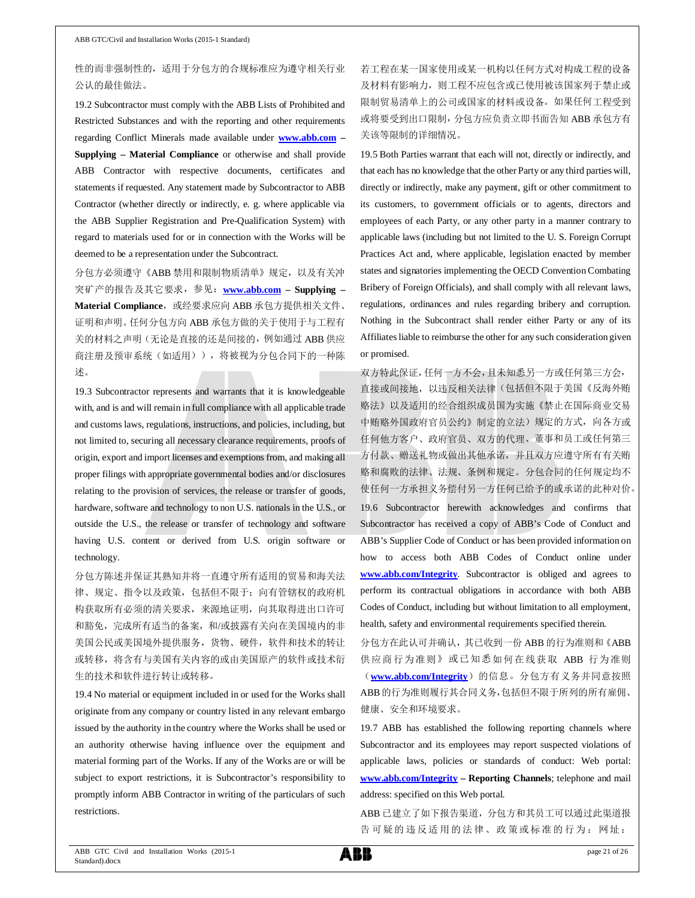### 性的而非强制性的,适用于分包方的合规标准应为遵守相关行业 公认的最佳做法。

19.2 Subcontractor must comply with the ABB Lists of Prohibited and Restricted Substances and with the reporting and other requirements regarding Conflict Minerals made available under **www.abb.com – Supplying – Material Compliance** or otherwise and shall provide ABB Contractor with respective documents, certificates and statements if requested. Any statement made by Subcontractor to ABB Contractor (whether directly or indirectly, e. g. where applicable via the ABB Supplier Registration and Pre-Qualification System) with regard to materials used for or in connection with the Works will be deemed to be a representation under the Subcontract.

分包方必须遵守《ABB 禁用和限制物质清单》规定,以及有关冲 突矿产的报告及其它要求,参见:**www.abb.com – Supplying –** Material Compliance, 或经要求应向 ABB 承包方提供相关文件、 证明和声明。任何分包方向 ABB 承包方做的关于使用于与工程有 关的材料之声明(无论是直接的还是间接的,例如通过 ABB 供应 商注册及预审系统(如适用)),将被视为分包合同下的一种陈 述。

19.3 Subcontractor represents and warrants that it is knowledgeable with, and is and will remain in full compliance with all applicable trade and customs laws, regulations, instructions, and policies, including, but not limited to, securing all necessary clearance requirements, proofs of origin, export and import licenses and exemptions from, and making all proper filings with appropriate governmental bodies and/or disclosures relating to the provision of services, the release or transfer of goods, hardware, software and technology to non U.S. nationals in the U.S., or outside the U.S., the release or transfer of technology and software having U.S. content or derived from U.S. origin software or technology.

分包方陈述并保证其熟知并将一直遵守所有适用的贸易和海关法 律、规定、指令以及政策,包括但不限于:向有管辖权的政府机 构获取所有必须的清关要求,来源地证明,向其取得进出口许可 和豁免,完成所有适当的备案,和/或披露有关向在美国境内的非 美国公民或美国境外提供服务,货物、硬件,软件和技术的转让 或转移,将含有与美国有关内容的或由美国原产的软件或技术衍 生的技术和软件进行转让或转移。

19.4 No material or equipment included in or used for the Works shall originate from any company or country listed in any relevant embargo issued by the authority in the country where the Works shall be used or an authority otherwise having influence over the equipment and material forming part of the Works. If any of the Works are or will be subject to export restrictions, it is Subcontractor's responsibility to promptly inform ABB Contractor in writing of the particulars of such restrictions.

若工程在某一国家使用或某一机构以任何方式对构成工程的设备 及材料有影响力, 则工程不应包含或已使用被该国家列于禁止或 限制贸易清单上的公司或国家的材料或设备。如果任何工程受到 或将要受到出口限制,分包方应负责立即书面告知 ABB 承包方有 关该等限制的详细情况。

19.5 Both Parties warrant that each will not, directly or indirectly, and that each has no knowledge that the other Party or any third parties will, directly or indirectly, make any payment, gift or other commitment to its customers, to government officials or to agents, directors and employees of each Party, or any other party in a manner contrary to applicable laws (including but not limited to the U. S. Foreign Corrupt Practices Act and, where applicable, legislation enacted by member states and signatories implementing the OECD Convention Combating Bribery of Foreign Officials), and shall comply with all relevant laws, regulations, ordinances and rules regarding bribery and corruption. Nothing in the Subcontract shall render either Party or any of its Affiliates liable to reimburse the other for any such consideration given or promised.

双方特此保证,任何一方不会,且未知悉另一方或任何第三方会, 直接或间接地,以违反相关法律(包括但不限于美国《反海外贿 赂法》以及适用的经合组织成员国为实施《禁止在国际商业交易 中贿赂外国政府官员公约》制定的立法)规定的方式,向各方或 任何他方客户、政府官员、双方的代理、董事和员工或任何第三 方付款、赠送礼物或做出其他承诺,并且双方应遵守所有有关贿 赂和腐败的法律、法规、条例和规定。分包合同的任何规定均不 使任何一方承担义务偿付另一方任何已给予的或承诺的此种对价。 19.6 Subcontractor herewith acknowledges and confirms that Subcontractor has received a copy of ABB's Code of Conduct and ABB's Supplier Code of Conduct or has been provided information on how to access both ABB Codes of Conduct online under **www.abb.com/Integrity**. Subcontractor is obliged and agrees to perform its contractual obligations in accordance with both ABB Codes of Conduct, including but without limitation to all employment, health, safety and environmental requirements specified therein.

分包方在此认可并确认,其已收到一份 ABB 的行为准则和《ABB 供应商行为准则》或已知悉如何在线获取 ABB 行为准则 (www.abb.com/Integrity)的信息。分包方有义务并同意按照 ABB的行为准则履行其合同义务,包括但不限于所列的所有雇佣、 健康、安全和环境要求。

19.7 ABB has established the following reporting channels where Subcontractor and its employees may report suspected violations of applicable laws, policies or standards of conduct: Web portal: **www.abb.com/Integrity – Reporting Channels**; telephone and mail address: specified on this Web portal.

ABB 已建立了如下报告渠道,分包方和其员工可以通过此渠道报 告可疑的违反适用的法律、政策或标准的行为:网址:

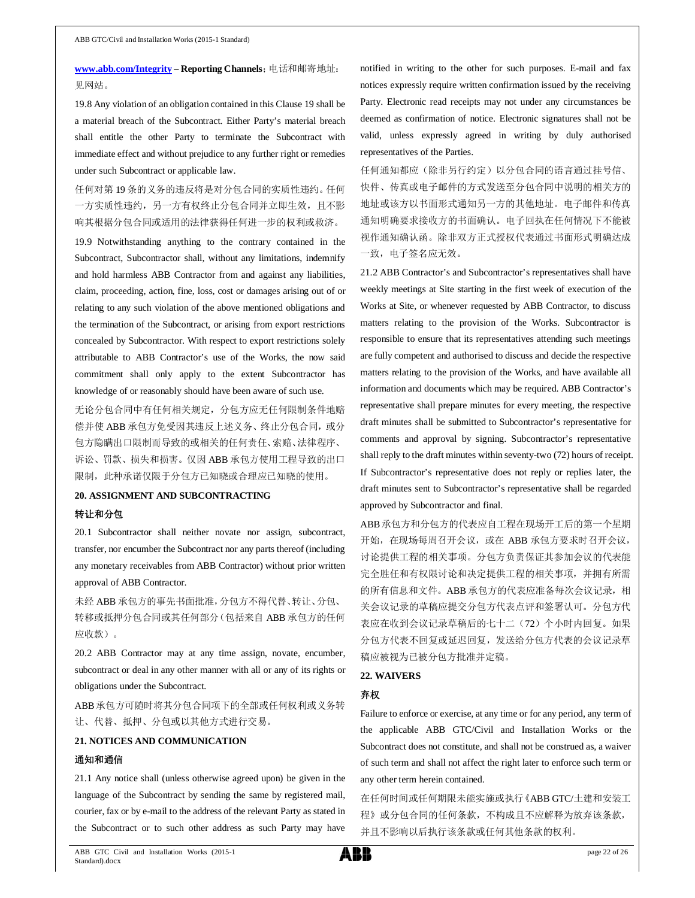**www.abb.com/Integrity – Reporting Channels**;电话和邮寄地址: 见网站。

19.8 Any violation of an obligation contained in this Clause 19 shall be a material breach of the Subcontract. Either Party's material breach shall entitle the other Party to terminate the Subcontract with immediate effect and without prejudice to any further right or remedies under such Subcontract or applicable law.

任何对第 19 条的义务的违反将是对分包合同的实质性违约。任何 一方实质性违约,另一方有权终止分包合同并立即生效,且不影 响其根据分包合同或适用的法律获得任何进一步的权利或救济。

19.9 Notwithstanding anything to the contrary contained in the Subcontract, Subcontractor shall, without any limitations, indemnify and hold harmless ABB Contractor from and against any liabilities, claim, proceeding, action, fine, loss, cost or damages arising out of or relating to any such violation of the above mentioned obligations and the termination of the Subcontract, or arising from export restrictions concealed by Subcontractor. With respect to export restrictions solely attributable to ABB Contractor's use of the Works, the now said commitment shall only apply to the extent Subcontractor has knowledge of or reasonably should have been aware of such use.

无论分包合同中有任何相关规定,分包方应无任何限制条件地赔 偿并使 ABB 承包方免受因其违反上述义务、终止分包合同, 或分 包方隐瞒出口限制而导致的或相关的任何责任、索赔、法律程序、 诉讼、罚款、损失和损害。仅因 ABB 承包方使用工程导致的出口 限制,此种承诺仅限于分包方已知晓或合理应已知晓的使用。

#### **20. ASSIGNMENT AND SUBCONTRACTING**

#### 转让和分包

20.1 Subcontractor shall neither novate nor assign, subcontract, transfer, nor encumber the Subcontract nor any parts thereof (including any monetary receivables from ABB Contractor) without prior written approval of ABB Contractor.

未经 ABB 承包方的事先书面批准,分包方不得代替、转让、分包、 转移或抵押分包合同或其任何部分(包括来自 ABB 承包方的任何 应收款)。

20.2 ABB Contractor may at any time assign, novate, encumber, subcontract or deal in any other manner with all or any of its rights or obligations under the Subcontract.

ABB承包方可随时将其分包合同项下的全部或任何权利或义务转 让、代替、抵押、分包或以其他方式进行交易。

#### **21. NOTICES AND COMMUNICATION**

#### 通知和通信

21.1 Any notice shall (unless otherwise agreed upon) be given in the language of the Subcontract by sending the same by registered mail, courier, fax or by e-mail to the address of the relevant Party as stated in the Subcontract or to such other address as such Party may have

notified in writing to the other for such purposes. E-mail and fax notices expressly require written confirmation issued by the receiving Party. Electronic read receipts may not under any circumstances be deemed as confirmation of notice. Electronic signatures shall not be valid, unless expressly agreed in writing by duly authorised representatives of the Parties.

任何通知都应(除非另行约定)以分包合同的语言通过挂号信、 快件、传真或电子邮件的方式发送至分包合同中说明的相关方的 地址或该方以书面形式通知另一方的其他地址。电子邮件和传真 通知明确要求接收方的书面确认。电子回执在任何情况下不能被 视作通知确认函。除非双方正式授权代表通过书面形式明确达成 一致,电子签名应无效。

21.2 ABB Contractor's and Subcontractor's representatives shall have weekly meetings at Site starting in the first week of execution of the Works at Site, or whenever requested by ABB Contractor, to discuss matters relating to the provision of the Works. Subcontractor is responsible to ensure that its representatives attending such meetings are fully competent and authorised to discuss and decide the respective matters relating to the provision of the Works, and have available all information and documents which may be required. ABB Contractor's representative shall prepare minutes for every meeting, the respective draft minutes shall be submitted to Subcontractor's representative for comments and approval by signing. Subcontractor's representative shall reply to the draft minutes within seventy-two (72) hours of receipt. If Subcontractor's representative does not reply or replies later, the draft minutes sent to Subcontractor's representative shall be regarded approved by Subcontractor and final.

ABB承包方和分包方的代表应自工程在现场开工后的第一个星期 开始, 在现场每周召开会议, 或在 ABB 承包方要求时召开会议, 讨论提供工程的相关事项。分包方负责保证其参加会议的代表能 完全胜任和有权限讨论和决定提供工程的相关事项,并拥有所需 的所有信息和文件。ABB 承包方的代表应准备每次会议记录, 相 关会议记录的草稿应提交分包方代表点评和签署认可。分包方代 表应在收到会议记录草稿后的七十二(72)个小时内回复。如果 分包方代表不回复或延迟回复,发送给分包方代表的会议记录草 稿应被视为已被分包方批准并定稿。

#### **22. WAIVERS**

#### 弃权

Failure to enforce or exercise, at any time or for any period, any term of the applicable ABB GTC/Civil and Installation Works or the Subcontract does not constitute, and shall not be construed as, a waiver of such term and shall not affect the right later to enforce such term or any other term herein contained.

在任何时间或任何期限未能实施或执行《ABB GTC/土建和安装工 程》或分包合同的任何条款,不构成且不应解释为放弃该条款, 并且不影响以后执行该条款或任何其他条款的权利。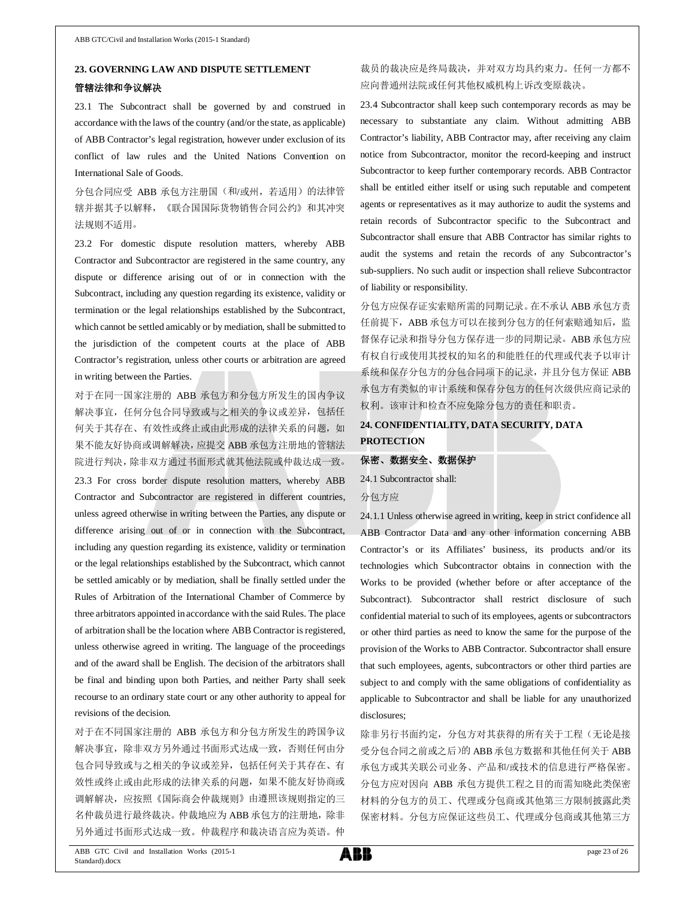# **23. GOVERNING LAW AND DISPUTE SETTLEMENT** 管辖法律和争议解决

23.1 The Subcontract shall be governed by and construed in accordance with the laws of the country (and/or the state, as applicable) of ABB Contractor's legal registration, however under exclusion of its conflict of law rules and the United Nations Convention on International Sale of Goods.

分包合同应受 ABB 承包方注册国(和/或州,若适用)的法律管 辖并据其予以解释,《联合国国际货物销售合同公约》和其冲突 法规则不适用。

23.2 For domestic dispute resolution matters, whereby ABB Contractor and Subcontractor are registered in the same country, any dispute or difference arising out of or in connection with the Subcontract, including any question regarding its existence, validity or termination or the legal relationships established by the Subcontract, which cannot be settled amicably or by mediation, shall be submitted to the jurisdiction of the competent courts at the place of ABB Contractor's registration, unless other courts or arbitration are agreed in writing between the Parties.

对于在同一国家注册的 ABB 承包方和分包方所发生的国内争议 解决事宜,任何分包合同导致或与之相关的争议或差异,包括任 何关于其存在、有效性或终止或由此形成的法律关系的问题,如 果不能友好协商或调解解决,应提交 ABB 承包方注册地的管辖法 院进行判决,除非双方通过书面形式就其他法院或仲裁达成一致。

23.3 For cross border dispute resolution matters, whereby ABB Contractor and Subcontractor are registered in different countries, unless agreed otherwise in writing between the Parties, any dispute or difference arising out of or in connection with the Subcontract, including any question regarding its existence, validity or termination or the legal relationships established by the Subcontract, which cannot be settled amicably or by mediation, shall be finally settled under the Rules of Arbitration of the International Chamber of Commerce by three arbitrators appointed in accordance with the said Rules. The place of arbitration shall be the location where ABB Contractor is registered, unless otherwise agreed in writing. The language of the proceedings and of the award shall be English. The decision of the arbitrators shall be final and binding upon both Parties, and neither Party shall seek recourse to an ordinary state court or any other authority to appeal for revisions of the decision.

对于在不同国家注册的 ABB 承包方和分包方所发生的跨国争议 解决事宜,除非双方另外通过书面形式达成一致,否则任何由分 包合同导致或与之相关的争议或差异,包括任何关于其存在、有 效性或终止或由此形成的法律关系的问题,如果不能友好协商或 调解解决,应按照《国际商会仲裁规则》由遵照该规则指定的三 名仲裁员进行最终裁决。仲裁地应为 ABB 承包方的注册地,除非 另外通过书面形式达成一致。仲裁程序和裁决语言应为英语。仲

# 裁员的裁决应是终局裁决,并对双方均具约束力。任何一方都不 应向普通州法院或任何其他权威机构上诉改变原裁决。

23.4 Subcontractor shall keep such contemporary records as may be necessary to substantiate any claim. Without admitting ABB Contractor's liability, ABB Contractor may, after receiving any claim notice from Subcontractor, monitor the record-keeping and instruct Subcontractor to keep further contemporary records. ABB Contractor shall be entitled either itself or using such reputable and competent agents or representatives as it may authorize to audit the systems and retain records of Subcontractor specific to the Subcontract and Subcontractor shall ensure that ABB Contractor has similar rights to audit the systems and retain the records of any Subcontractor's sub-suppliers. No such audit or inspection shall relieve Subcontractor of liability or responsibility.

分包方应保存证实索赔所需的同期记录。在不承认 ABB 承包方责 任前提下, ABB 承包方可以在接到分包方的任何索赔通知后, 监 督保存记录和指导分包方保存进一步的同期记录。ABB 承包方应 有权自行或使用其授权的知名的和能胜任的代理或代表予以审计 系统和保存分包方的分包合同项下的记录,并且分包方保证 ABB 承包方有类似的审计系统和保存分包方的任何次级供应商记录的 权利。该审计和检查不应免除分包方的责任和职责。

# **24. CONFIDENTIALITY, DATA SECURITY, DATA PROTECTION**

#### 保密、数据安全、数据保护

24.1 Subcontractor shall: 分包方应

24.1.1 Unless otherwise agreed in writing, keep in strict confidence all ABB Contractor Data and any other information concerning ABB Contractor's or its Affiliates' business, its products and/or its technologies which Subcontractor obtains in connection with the Works to be provided (whether before or after acceptance of the Subcontract). Subcontractor shall restrict disclosure of such confidential material to such of its employees, agents or subcontractors or other third parties as need to know the same for the purpose of the provision of the Works to ABB Contractor. Subcontractor shall ensure that such employees, agents, subcontractors or other third parties are subject to and comply with the same obligations of confidentiality as applicable to Subcontractor and shall be liable for any unauthorized disclosures;

除非另行书面约定,分包方对其获得的所有关于工程(无论是接 受分包合同之前或之后)的 ABB 承包方数据和其他任何关于 ABB 承包方或其关联公司业务、产品和/或技术的信息进行严格保密。 分包方应对因向 ABB 承包方提供工程之目的而需知晓此类保密 材料的分包方的员工、代理或分包商或其他第三方限制披露此类 保密材料。分包方应保证这些员工、代理或分包商或其他第三方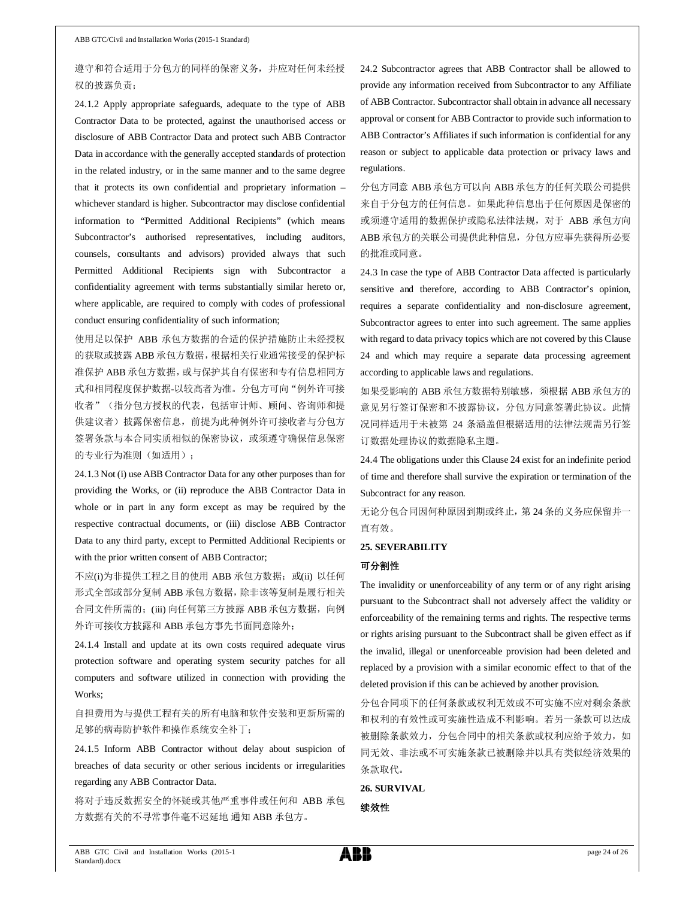### 遵守和符合适用于分包方的同样的保密义务,并应对任何未经授 权的披露负责;

24.1.2 Apply appropriate safeguards, adequate to the type of ABB Contractor Data to be protected, against the unauthorised access or disclosure of ABB Contractor Data and protect such ABB Contractor Data in accordance with the generally accepted standards of protection in the related industry, or in the same manner and to the same degree that it protects its own confidential and proprietary information – whichever standard is higher. Subcontractor may disclose confidential information to "Permitted Additional Recipients" (which means Subcontractor's authorised representatives, including auditors, counsels, consultants and advisors) provided always that such Permitted Additional Recipients sign with Subcontractor a confidentiality agreement with terms substantially similar hereto or, where applicable, are required to comply with codes of professional conduct ensuring confidentiality of such information;

使用足以保护 ABB 承包方数据的合适的保护措施防止未经授权 的获取或披露 ABB 承包方数据,根据相关行业通常接受的保护标 准保护 ABB 承包方数据,或与保护其自有保密和专有信息相同方 式和相同程度保护数据-以较高者为准。分包方可向"例外许可接 收者"(指分包方授权的代表,包括审计师、顾问、咨询师和提 供建议者)披露保密信息,前提为此种例外许可接收者与分包方 签署条款与本合同实质相似的保密协议,或须遵守确保信息保密 的专业行为准则(如适用);

24.1.3 Not (i) use ABB Contractor Data for any other purposes than for providing the Works, or (ii) reproduce the ABB Contractor Data in whole or in part in any form except as may be required by the respective contractual documents, or (iii) disclose ABB Contractor Data to any third party, except to Permitted Additional Recipients or with the prior written consent of ABB Contractor;

不应(i)为非提供工程之目的使用 ABB 承包方数据; 或(ii) 以任何 形式全部或部分复制 ABB 承包方数据,除非该等复制是履行相关 合同文件所需的;(iii) 向任何第三方披露 ABB 承包方数据, 向例 外许可接收方披露和 ABB 承包方事先书面同意除外;

24.1.4 Install and update at its own costs required adequate virus protection software and operating system security patches for all computers and software utilized in connection with providing the Works;

自担费用为与提供工程有关的所有电脑和软件安装和更新所需的 足够的病毒防护软件和操作系统安全补丁;

24.1.5 Inform ABB Contractor without delay about suspicion of breaches of data security or other serious incidents or irregularities regarding any ABB Contractor Data.

将对于违反数据安全的怀疑或其他严重事件或任何和 ABB 承包 方数据有关的不寻常事件毫不迟延地 通知 ABB 承包方。

24.2 Subcontractor agrees that ABB Contractor shall be allowed to provide any information received from Subcontractor to any Affiliate of ABB Contractor. Subcontractor shall obtain in advance all necessary approval or consent for ABB Contractor to provide such information to ABB Contractor's Affiliates if such information is confidential for any reason or subject to applicable data protection or privacy laws and regulations.

分包方同意 ABB 承包方可以向 ABB 承包方的任何关联公司提供 来自于分包方的任何信息。如果此种信息出于任何原因是保密的 或须遵守适用的数据保护或隐私法律法规,对于 ABB 承包方向 ABB 承包方的关联公司提供此种信息,分包方应事先获得所必要 的批准或同意。

24.3 In case the type of ABB Contractor Data affected is particularly sensitive and therefore, according to ABB Contractor's opinion, requires a separate confidentiality and non-disclosure agreement, Subcontractor agrees to enter into such agreement. The same applies with regard to data privacy topics which are not covered by this Clause 24 and which may require a separate data processing agreement according to applicable laws and regulations.

如果受影响的 ABB 承包方数据特别敏感, 须根据 ABB 承包方的 意见另行签订保密和不披露协议,分包方同意签署此协议。此情 况同样适用于未被第 24 条涵盖但根据适用的法律法规需另行签 订数据处理协议的数据隐私主题。

24.4 The obligations under this Clause 24 exist for an indefinite period of time and therefore shall survive the expiration or termination of the Subcontract for any reason.

无论分包合同因何种原因到期或终止,第 24 条的义务应保留并一 直有效。

#### **25. SEVERABILITY**

#### 可分割性

The invalidity or unenforceability of any term or of any right arising pursuant to the Subcontract shall not adversely affect the validity or enforceability of the remaining terms and rights. The respective terms or rights arising pursuant to the Subcontract shall be given effect as if the invalid, illegal or unenforceable provision had been deleted and replaced by a provision with a similar economic effect to that of the deleted provision if this can be achieved by another provision.

分包合同项下的任何条款或权利无效或不可实施不应对剩余条款 和权利的有效性或可实施性造成不利影响。若另一条款可以达成 被删除条款效力,分包合同中的相关条款或权利应给予效力,如 同无效、非法或不可实施条款已被删除并以具有类似经济效果的 条款取代。

**26. SURVIVAL**

续效性